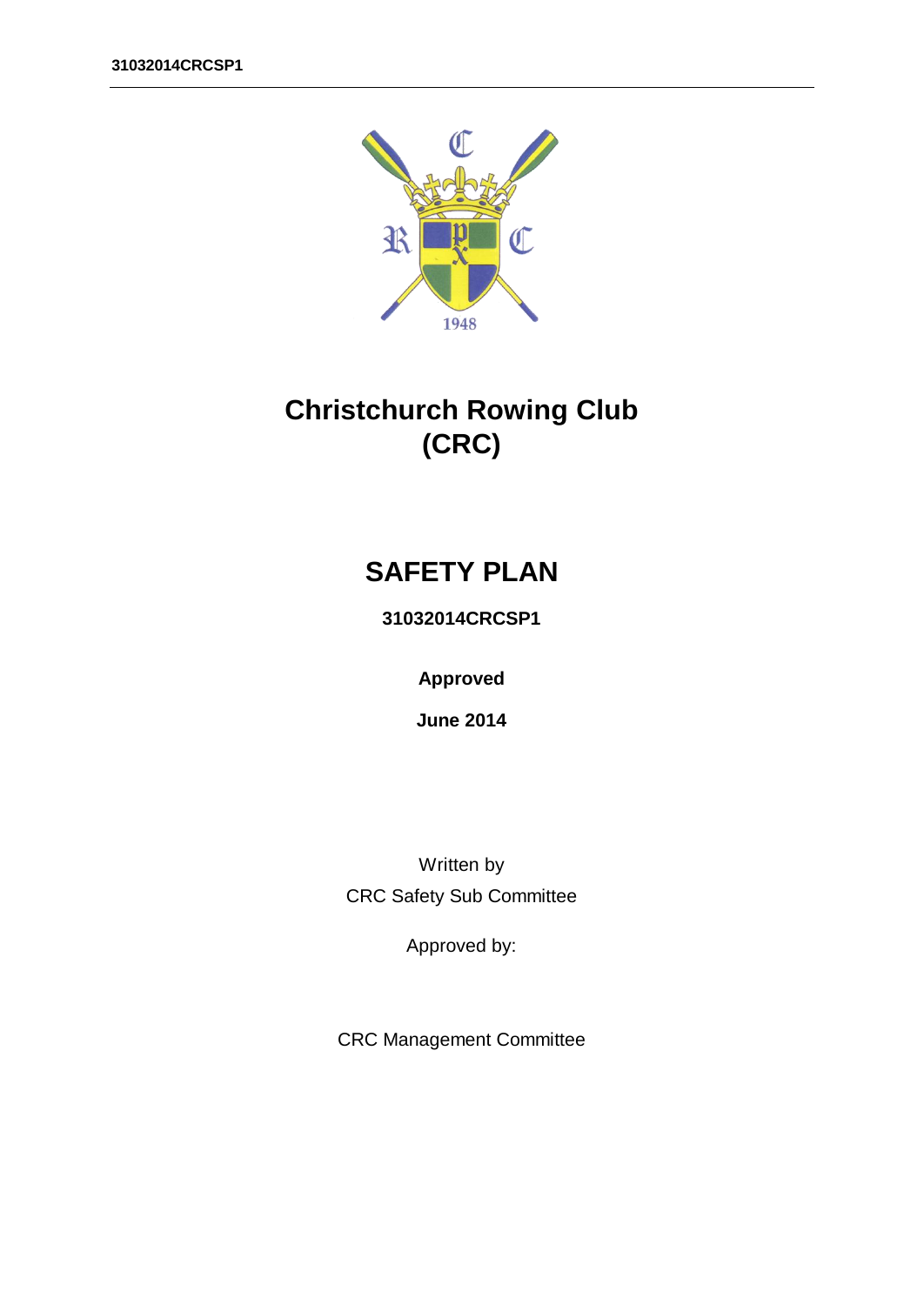

# **Christchurch Rowing Club (CRC)**

# **SAFETY PLAN**

**31032014CRCSP1**

**Approved**

**June 2014**

Written by CRC Safety Sub Committee

Approved by:

CRC Management Committee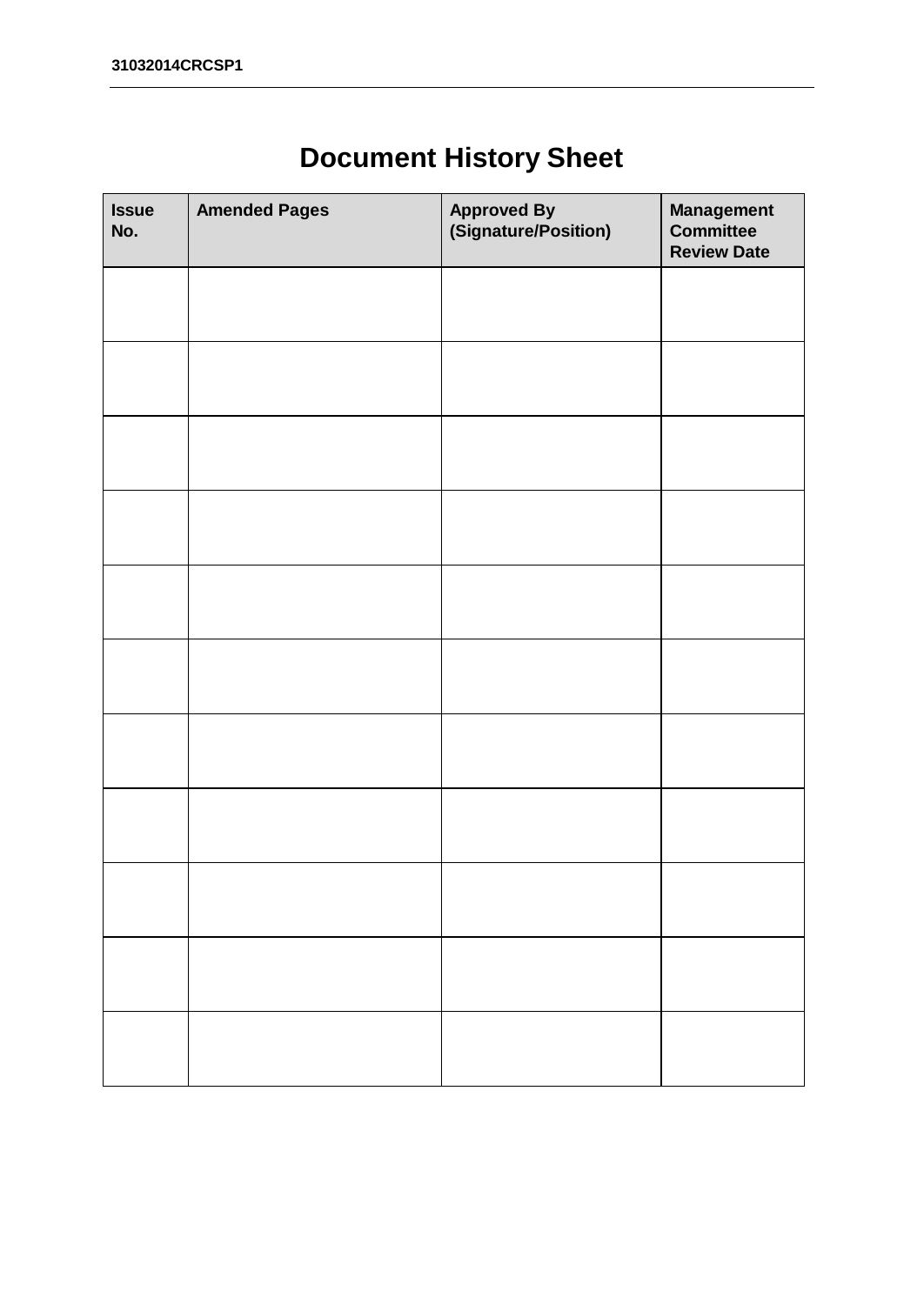# <span id="page-1-0"></span>**Document History Sheet**

| <b>Issue</b><br>No. | <b>Amended Pages</b> | <b>Approved By<br/>(Signature/Position)</b> | Management<br><b>Committee</b><br><b>Review Date</b> |
|---------------------|----------------------|---------------------------------------------|------------------------------------------------------|
|                     |                      |                                             |                                                      |
|                     |                      |                                             |                                                      |
|                     |                      |                                             |                                                      |
|                     |                      |                                             |                                                      |
|                     |                      |                                             |                                                      |
|                     |                      |                                             |                                                      |
|                     |                      |                                             |                                                      |
|                     |                      |                                             |                                                      |
|                     |                      |                                             |                                                      |
|                     |                      |                                             |                                                      |
|                     |                      |                                             |                                                      |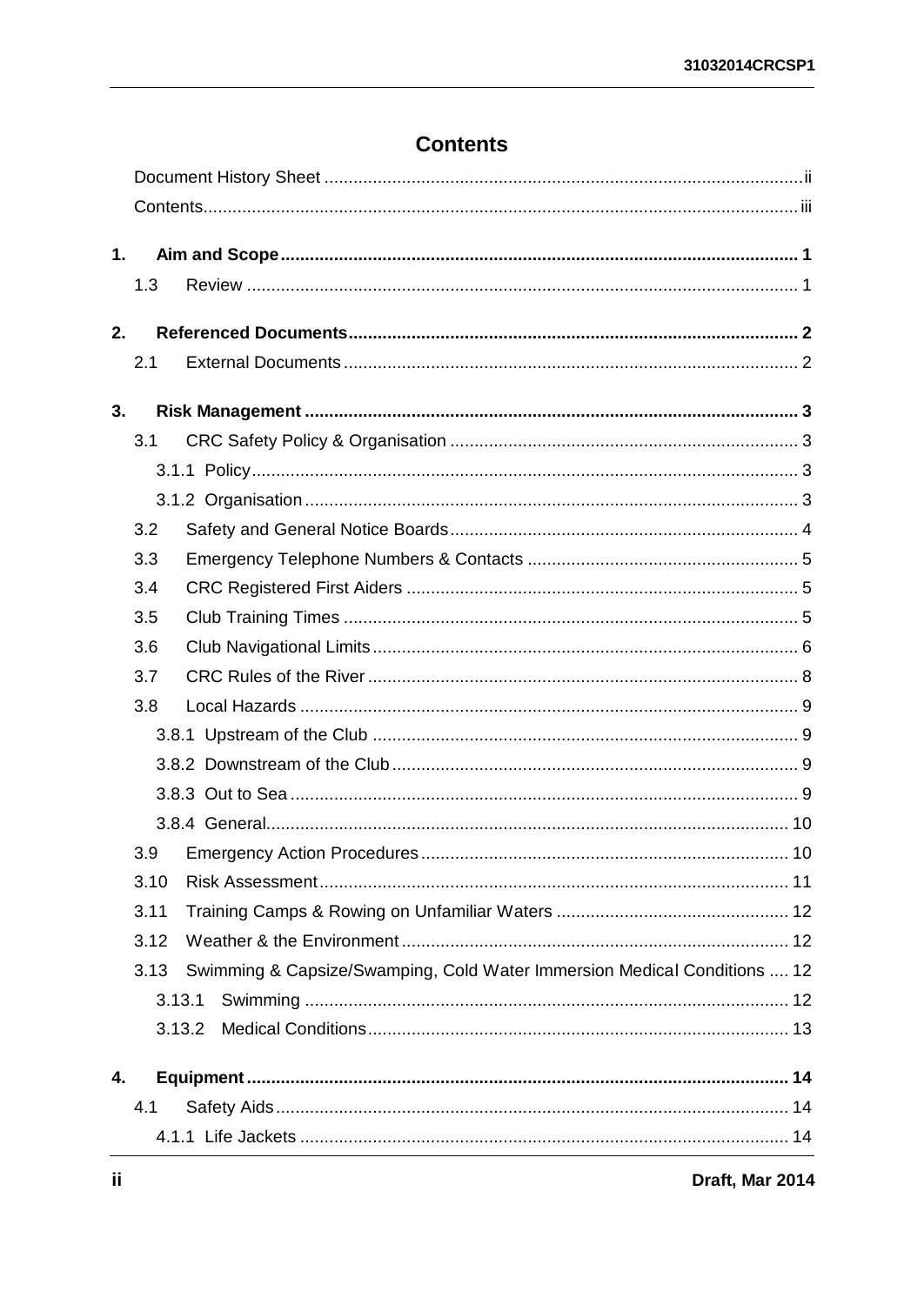### <span id="page-2-0"></span>**Contents**

| 1. |      |                                                                          |
|----|------|--------------------------------------------------------------------------|
|    | 1.3  |                                                                          |
| 2. |      |                                                                          |
|    | 2.1  |                                                                          |
|    |      |                                                                          |
| 3. |      |                                                                          |
|    | 3.1  |                                                                          |
|    |      |                                                                          |
|    |      |                                                                          |
|    | 3.2  |                                                                          |
|    | 3.3  |                                                                          |
|    | 3.4  |                                                                          |
|    | 3.5  |                                                                          |
|    | 3.6  |                                                                          |
|    | 3.7  |                                                                          |
|    | 3.8  |                                                                          |
|    |      |                                                                          |
|    |      |                                                                          |
|    |      |                                                                          |
|    |      |                                                                          |
|    | 3.9  |                                                                          |
|    | 3.10 |                                                                          |
|    | 3.11 |                                                                          |
|    | 3.12 |                                                                          |
|    | 3.13 | Swimming & Capsize/Swamping, Cold Water Immersion Medical Conditions  12 |
|    |      | 3.13.1                                                                   |
|    |      | 3.13.2                                                                   |
|    |      |                                                                          |
| 4. |      |                                                                          |
|    | 4.1  |                                                                          |
|    |      |                                                                          |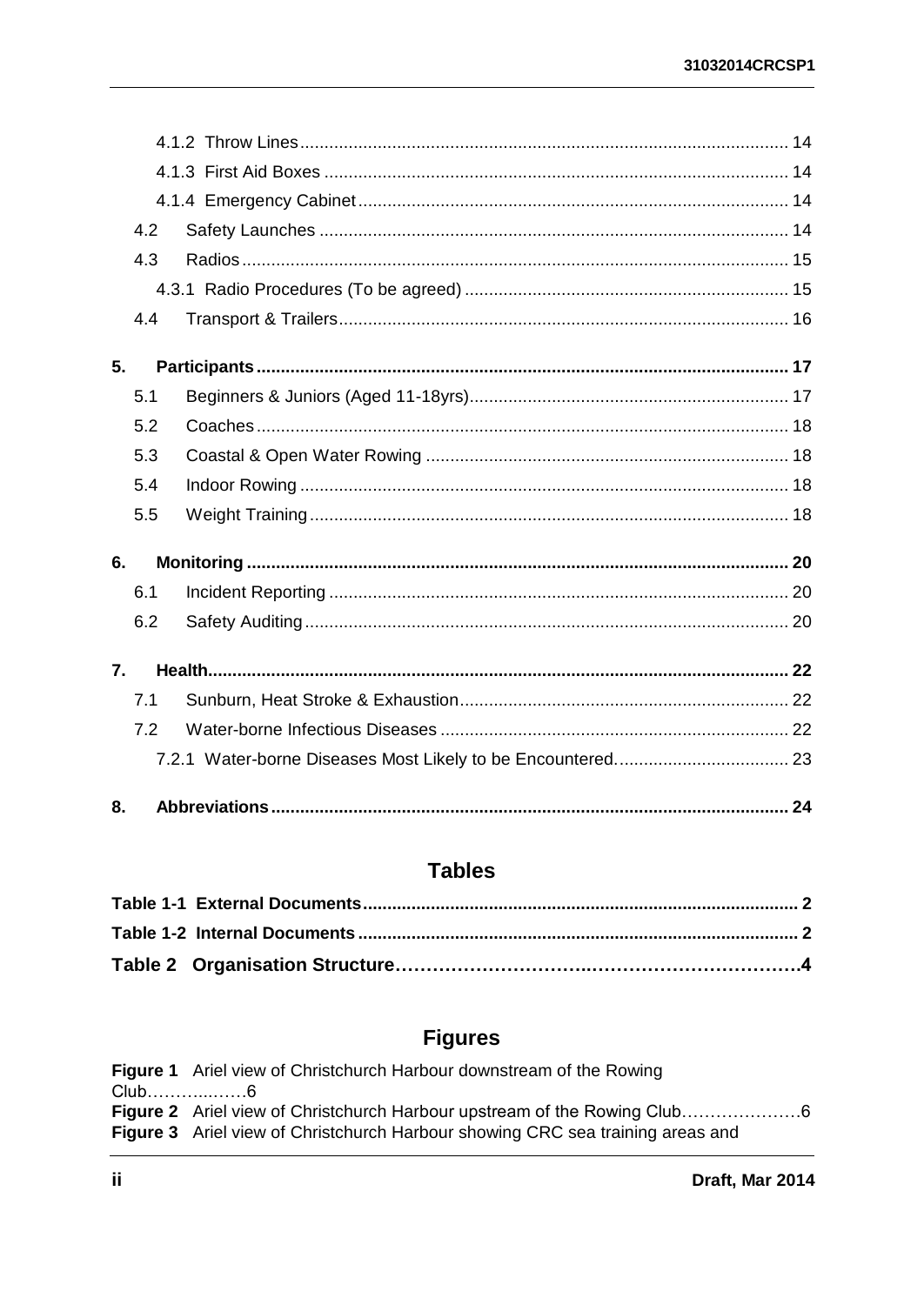|                  | 4.2 |  |
|------------------|-----|--|
|                  | 4.3 |  |
|                  |     |  |
|                  | 4.4 |  |
| 5.               |     |  |
|                  | 5.1 |  |
|                  | 5.2 |  |
|                  | 5.3 |  |
|                  | 5.4 |  |
|                  | 5.5 |  |
| 6.               |     |  |
|                  | 6.1 |  |
|                  | 6.2 |  |
| $\overline{7}$ . |     |  |
|                  | 7.1 |  |
|                  | 7.2 |  |
|                  |     |  |
| 8.               |     |  |

### **Tables**

### **Figures**

Figure 1 Ariel view of Christchurch Harbour downstream of the Rowing Club....................6 Figure 2 Ariel view of Christchurch Harbour upstream of the Rowing Club.........................6 Figure 3 Ariel view of Christchurch Harbour showing CRC sea training areas and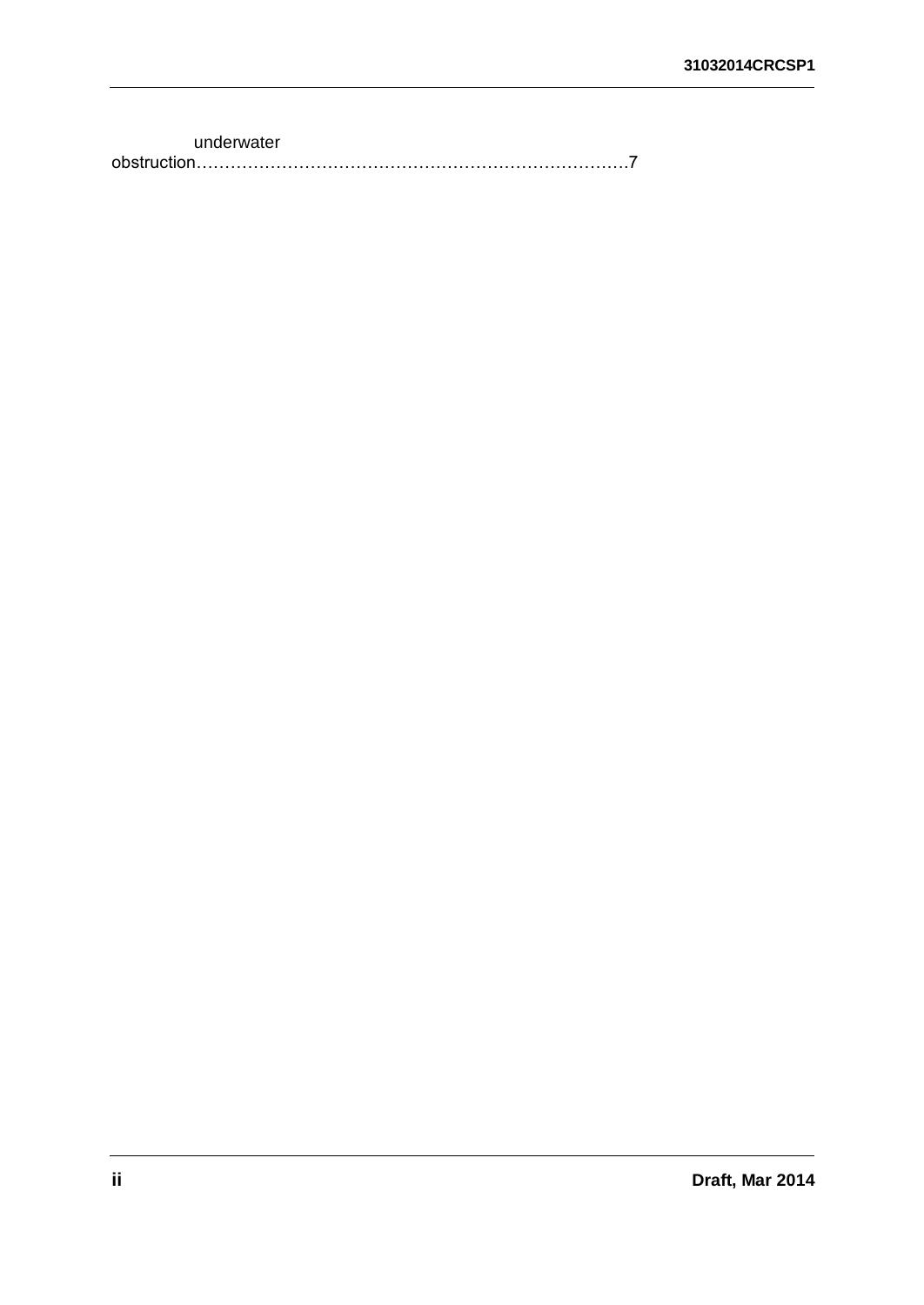underwater obstruction………………………………………………………………….7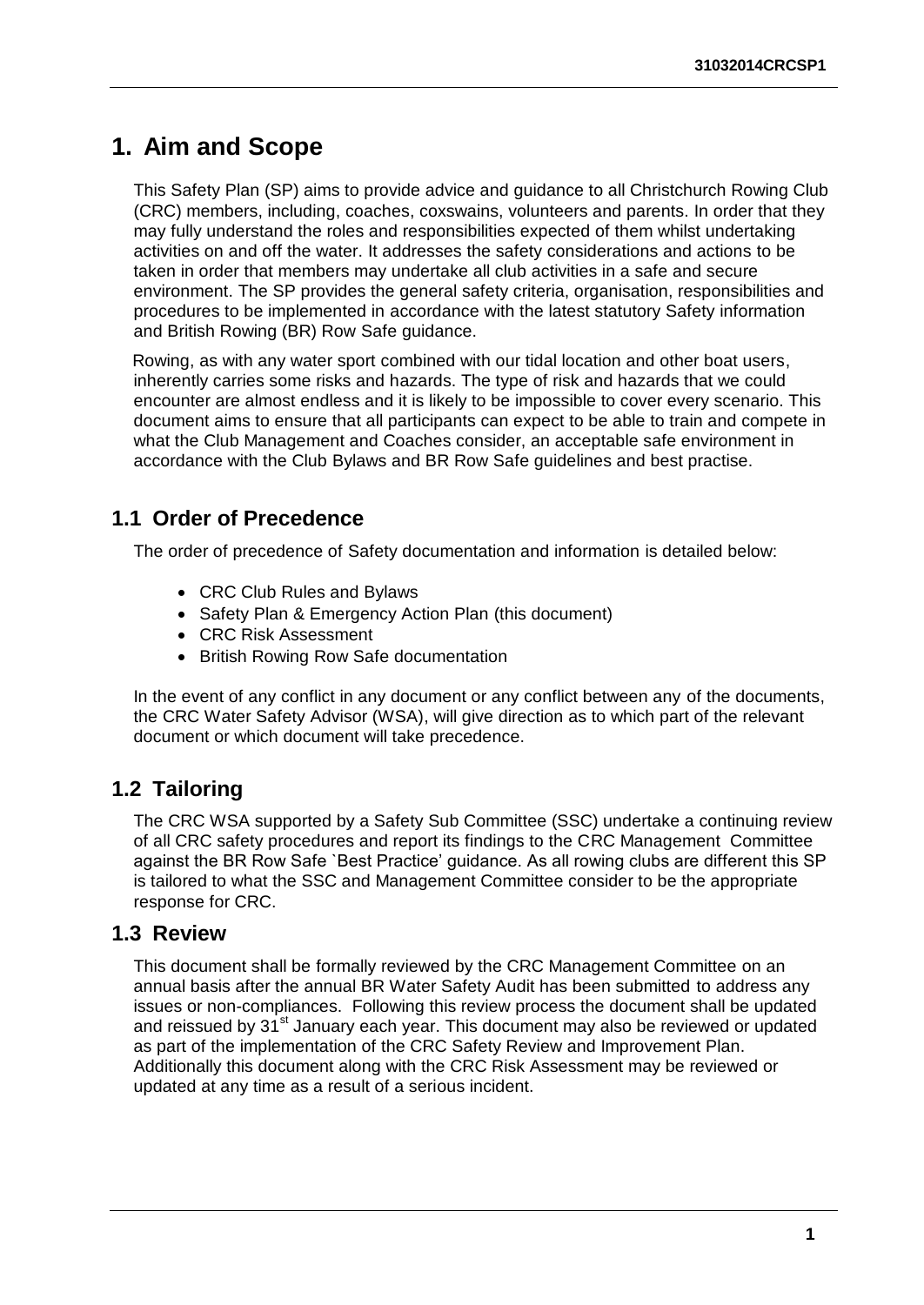## <span id="page-5-0"></span>**1. Aim and Scope**

This Safety Plan (SP) aims to provide advice and guidance to all Christchurch Rowing Club (CRC) members, including, coaches, coxswains, volunteers and parents. In order that they may fully understand the roles and responsibilities expected of them whilst undertaking activities on and off the water. It addresses the safety considerations and actions to be taken in order that members may undertake all club activities in a safe and secure environment. The SP provides the general safety criteria, organisation, responsibilities and procedures to be implemented in accordance with the latest statutory Safety information and British Rowing (BR) Row Safe guidance.

 Rowing, as with any water sport combined with our tidal location and other boat users, inherently carries some risks and hazards. The type of risk and hazards that we could encounter are almost endless and it is likely to be impossible to cover every scenario. This document aims to ensure that all participants can expect to be able to train and compete in what the Club Management and Coaches consider, an acceptable safe environment in accordance with the Club Bylaws and BR Row Safe guidelines and best practise.

### **1.1 Order of Precedence**

The order of precedence of Safety documentation and information is detailed below:

- CRC Club Rules and Bylaws
- Safety Plan & Emergency Action Plan (this document)
- CRC Risk Assessment
- British Rowing Row Safe documentation

In the event of any conflict in any document or any conflict between any of the documents, the CRC Water Safety Advisor (WSA), will give direction as to which part of the relevant document or which document will take precedence.

### **1.2 Tailoring**

The CRC WSA supported by a Safety Sub Committee (SSC) undertake a continuing review of all CRC safety procedures and report its findings to the CRC Management Committee against the BR Row Safe `Best Practice' guidance. As all rowing clubs are different this SP is tailored to what the SSC and Management Committee consider to be the appropriate response for CRC.

#### <span id="page-5-1"></span>**1.3 Review**

This document shall be formally reviewed by the CRC Management Committee on an annual basis after the annual BR Water Safety Audit has been submitted to address any issues or non-compliances. Following this review process the document shall be updated and reissued by 31<sup>st</sup> January each year. This document may also be reviewed or updated as part of the implementation of the CRC Safety Review and Improvement Plan. Additionally this document along with the CRC Risk Assessment may be reviewed or updated at any time as a result of a serious incident.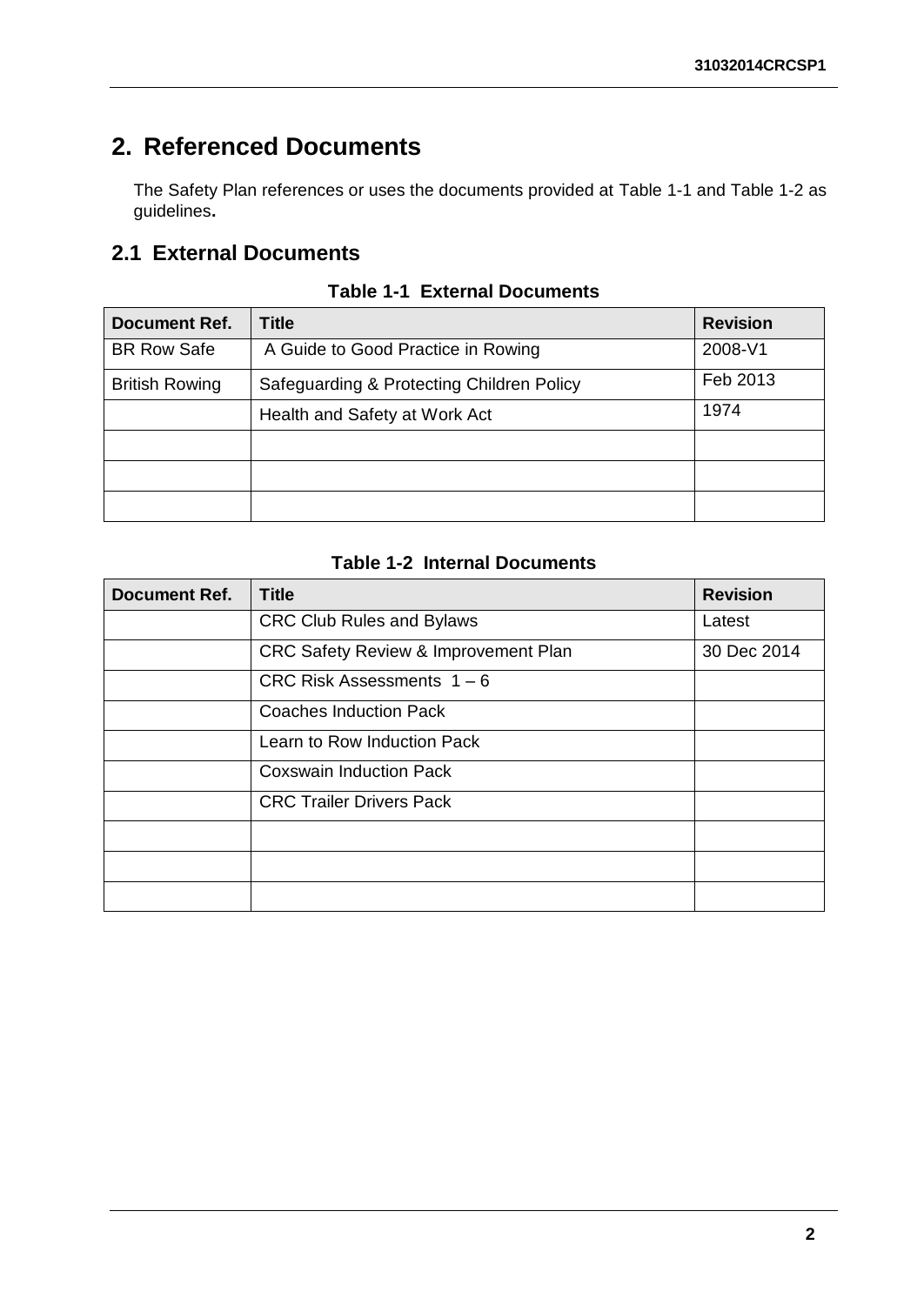# <span id="page-6-0"></span>**2. Referenced Documents**

The Safety Plan references or uses the documents provided at [Table 1-1](#page-6-2) and [Table 1-2](#page-6-3) as guidelines**.**

### <span id="page-6-1"></span>**2.1 External Documents**

<span id="page-6-2"></span>

| Document Ref.         | <b>Title</b>                              | <b>Revision</b> |
|-----------------------|-------------------------------------------|-----------------|
| <b>BR Row Safe</b>    | A Guide to Good Practice in Rowing        | 2008-V1         |
| <b>British Rowing</b> | Safeguarding & Protecting Children Policy | Feb 2013        |
|                       | Health and Safety at Work Act             | 1974            |
|                       |                                           |                 |
|                       |                                           |                 |
|                       |                                           |                 |

**Table 1-1 External Documents**

#### **Table 1-2 Internal Documents**

<span id="page-6-3"></span>

| <b>Document Ref.</b> | <b>Title</b>                         | <b>Revision</b> |
|----------------------|--------------------------------------|-----------------|
|                      | <b>CRC Club Rules and Bylaws</b>     | Latest          |
|                      | CRC Safety Review & Improvement Plan | 30 Dec 2014     |
|                      | CRC Risk Assessments $1 - 6$         |                 |
|                      | Coaches Induction Pack               |                 |
|                      | Learn to Row Induction Pack          |                 |
|                      | <b>Coxswain Induction Pack</b>       |                 |
|                      | <b>CRC Trailer Drivers Pack</b>      |                 |
|                      |                                      |                 |
|                      |                                      |                 |
|                      |                                      |                 |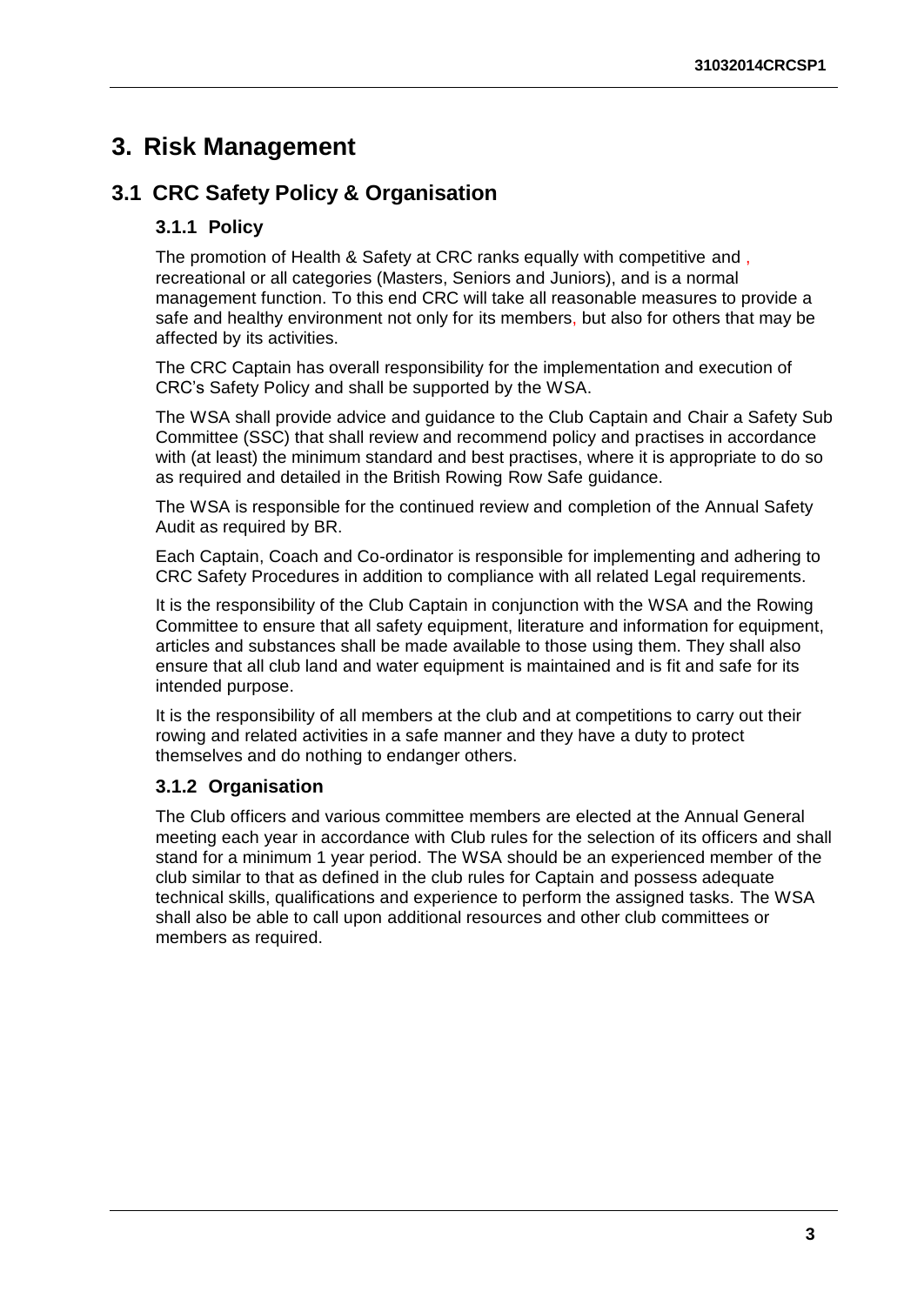### <span id="page-7-0"></span>**3. Risk Management**

### <span id="page-7-2"></span><span id="page-7-1"></span>**3.1 CRC Safety Policy & Organisation**

#### **3.1.1 Policy**

The promotion of Health & Safety at CRC ranks equally with competitive and , recreational or all categories (Masters, Seniors and Juniors), and is a normal management function. To this end CRC will take all reasonable measures to provide a safe and healthy environment not only for its members, but also for others that may be affected by its activities.

The CRC Captain has overall responsibility for the implementation and execution of CRC's Safety Policy and shall be supported by the WSA.

The WSA shall provide advice and guidance to the Club Captain and Chair a Safety Sub Committee (SSC) that shall review and recommend policy and practises in accordance with (at least) the minimum standard and best practises, where it is appropriate to do so as required and detailed in the British Rowing Row Safe guidance.

The WSA is responsible for the continued review and completion of the Annual Safety Audit as required by BR.

Each Captain, Coach and Co-ordinator is responsible for implementing and adhering to CRC Safety Procedures in addition to compliance with all related Legal requirements.

It is the responsibility of the Club Captain in conjunction with the WSA and the Rowing Committee to ensure that all safety equipment, literature and information for equipment, articles and substances shall be made available to those using them. They shall also ensure that all club land and water equipment is maintained and is fit and safe for its intended purpose.

It is the responsibility of all members at the club and at competitions to carry out their rowing and related activities in a safe manner and they have a duty to protect themselves and do nothing to endanger others.

#### <span id="page-7-3"></span>**3.1.2 Organisation**

The Club officers and various committee members are elected at the Annual General meeting each year in accordance with Club rules for the selection of its officers and shall stand for a minimum 1 year period. The WSA should be an experienced member of the club similar to that as defined in the club rules for Captain and possess adequate technical skills, qualifications and experience to perform the assigned tasks. The WSA shall also be able to call upon additional resources and other club committees or members as required.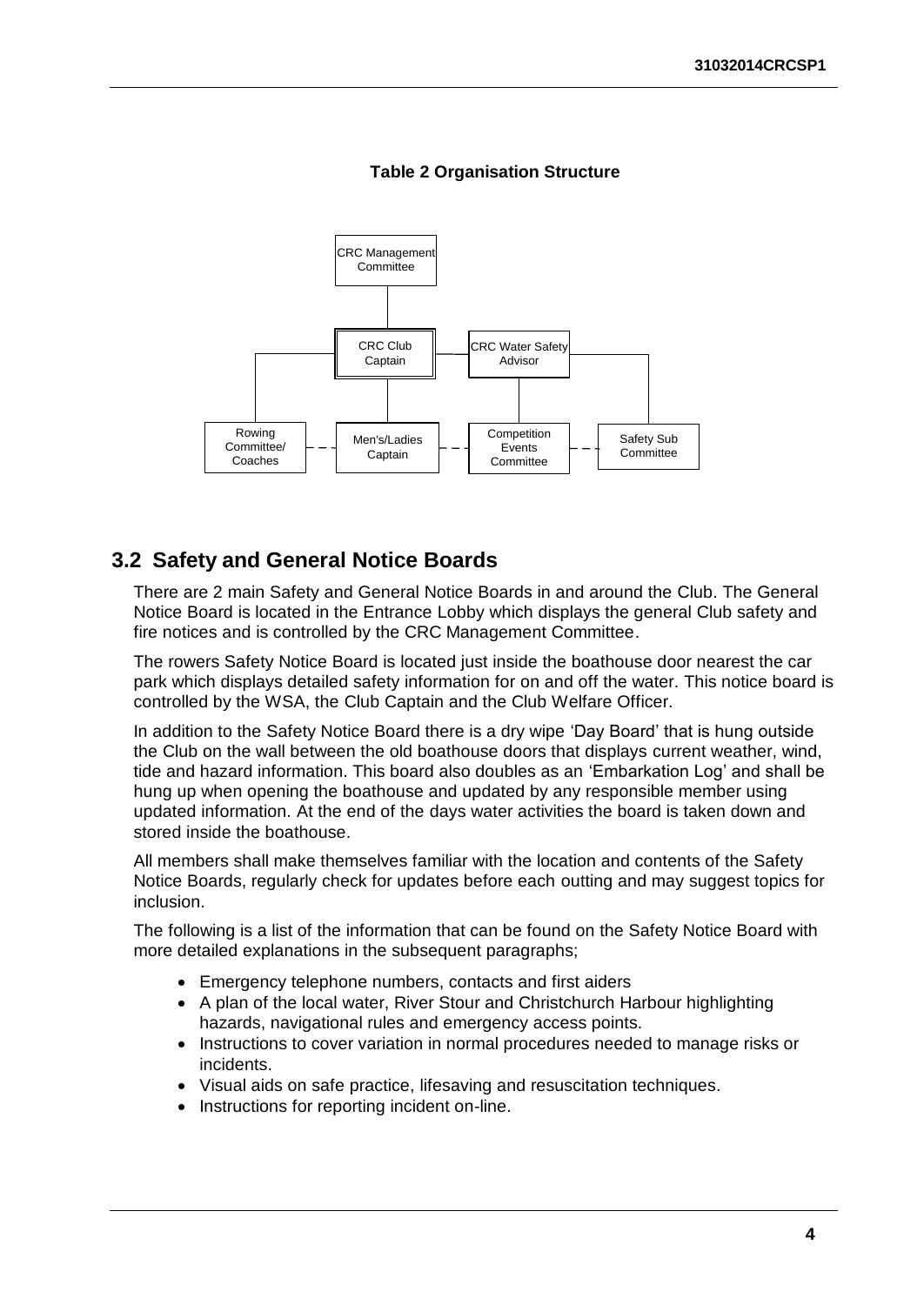

#### **Table 2 Organisation Structure**

#### <span id="page-8-0"></span>**3.2 Safety and General Notice Boards**

There are 2 main Safety and General Notice Boards in and around the Club. The General Notice Board is located in the Entrance Lobby which displays the general Club safety and fire notices and is controlled by the CRC Management Committee.

The rowers Safety Notice Board is located just inside the boathouse door nearest the car park which displays detailed safety information for on and off the water. This notice board is controlled by the WSA, the Club Captain and the Club Welfare Officer.

In addition to the Safety Notice Board there is a dry wipe 'Day Board' that is hung outside the Club on the wall between the old boathouse doors that displays current weather, wind, tide and hazard information. This board also doubles as an 'Embarkation Log' and shall be hung up when opening the boathouse and updated by any responsible member using updated information. At the end of the days water activities the board is taken down and stored inside the boathouse.

All members shall make themselves familiar with the location and contents of the Safety Notice Boards, regularly check for updates before each outting and may suggest topics for inclusion.

The following is a list of the information that can be found on the Safety Notice Board with more detailed explanations in the subsequent paragraphs;

- Emergency telephone numbers, contacts and first aiders
- A plan of the local water, River Stour and Christchurch Harbour highlighting hazards, navigational rules and emergency access points.
- Instructions to cover variation in normal procedures needed to manage risks or incidents.
- Visual aids on safe practice, lifesaving and resuscitation techniques.
- Instructions for reporting incident on-line.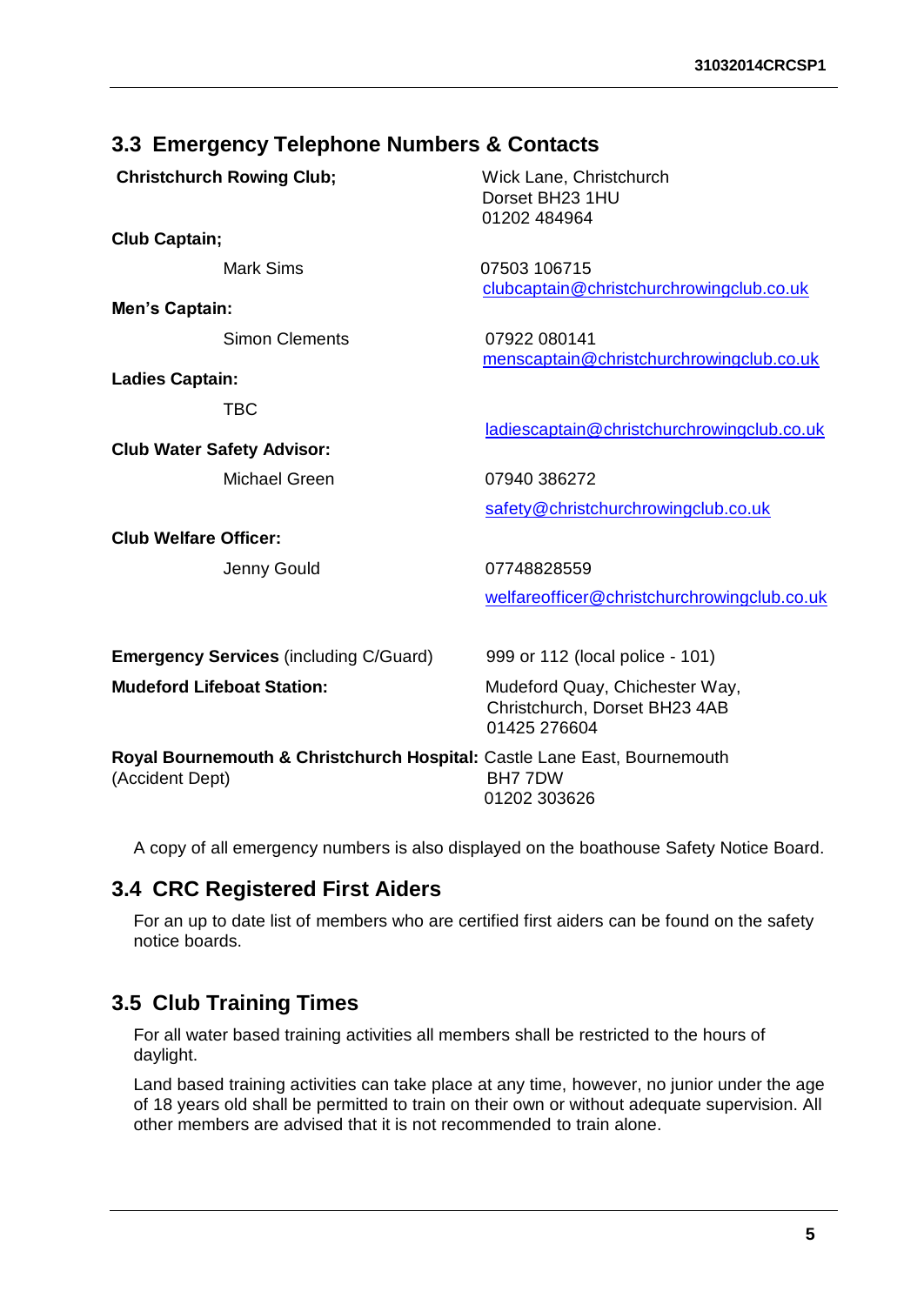#### <span id="page-9-0"></span>**3.3 Emergency Telephone Numbers & Contacts**

| <b>Christchurch Rowing Club;</b><br><b>Club Captain;</b>                                    | Wick Lane, Christchurch<br>Dorset BH23 1HU<br>01202 484964                      |
|---------------------------------------------------------------------------------------------|---------------------------------------------------------------------------------|
| <b>Mark Sims</b>                                                                            | 07503 106715<br>clubcaptain@christchurchrowingclub.co.uk                        |
| <b>Men's Captain:</b>                                                                       |                                                                                 |
| <b>Simon Clements</b>                                                                       | 07922 080141<br>menscaptain@christchurchrowingclub.co.uk                        |
| <b>Ladies Captain:</b>                                                                      |                                                                                 |
| <b>TBC</b>                                                                                  | ladiescaptain@christchurchrowingclub.co.uk                                      |
| <b>Club Water Safety Advisor:</b>                                                           |                                                                                 |
| Michael Green                                                                               | 07940 386272                                                                    |
|                                                                                             | safety@christchurchrowingclub.co.uk                                             |
| <b>Club Welfare Officer:</b>                                                                |                                                                                 |
| Jenny Gould                                                                                 | 07748828559                                                                     |
|                                                                                             | welfareofficer@christchurchrowingclub.co.uk                                     |
| <b>Emergency Services (including C/Guard)</b>                                               | 999 or 112 (local police - 101)                                                 |
| <b>Mudeford Lifeboat Station:</b>                                                           | Mudeford Quay, Chichester Way,<br>Christchurch, Dorset BH23 4AB<br>01425 276604 |
| Royal Bournemouth & Christchurch Hospital: Castle Lane East, Bournemouth<br>(Accident Dept) | BH7 7DW<br>01202 303626                                                         |

A copy of all emergency numbers is also displayed on the boathouse Safety Notice Board.

### <span id="page-9-1"></span>**3.4 CRC Registered First Aiders**

For an up to date list of members who are certified first aiders can be found on the safety notice boards.

### <span id="page-9-2"></span>**3.5 Club Training Times**

For all water based training activities all members shall be restricted to the hours of daylight.

Land based training activities can take place at any time, however, no junior under the age of 18 years old shall be permitted to train on their own or without adequate supervision. All other members are advised that it is not recommended to train alone.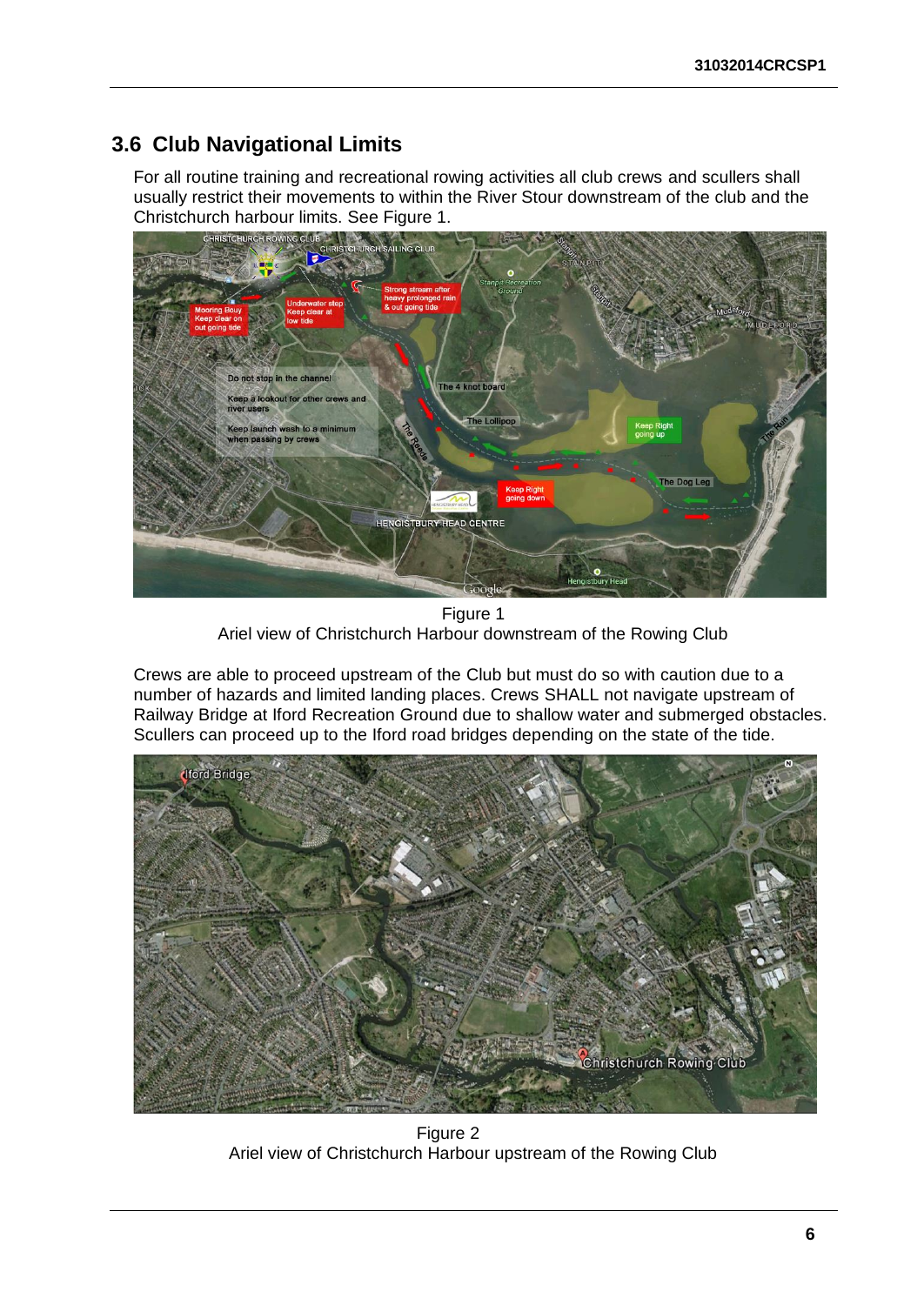### <span id="page-10-0"></span>**3.6 Club Navigational Limits**

For all routine training and recreational rowing activities all club crews and scullers shall usually restrict their movements to within the River Stour downstream of the club and the



Figure 1 Ariel view of Christchurch Harbour downstream of the Rowing Club

Crews are able to proceed upstream of the Club but must do so with caution due to a number of hazards and limited landing places. Crews SHALL not navigate upstream of Railway Bridge at Iford Recreation Ground due to shallow water and submerged obstacles. Scullers can proceed up to the Iford road bridges depending on the state of the tide.



Figure 2 Ariel view of Christchurch Harbour upstream of the Rowing Club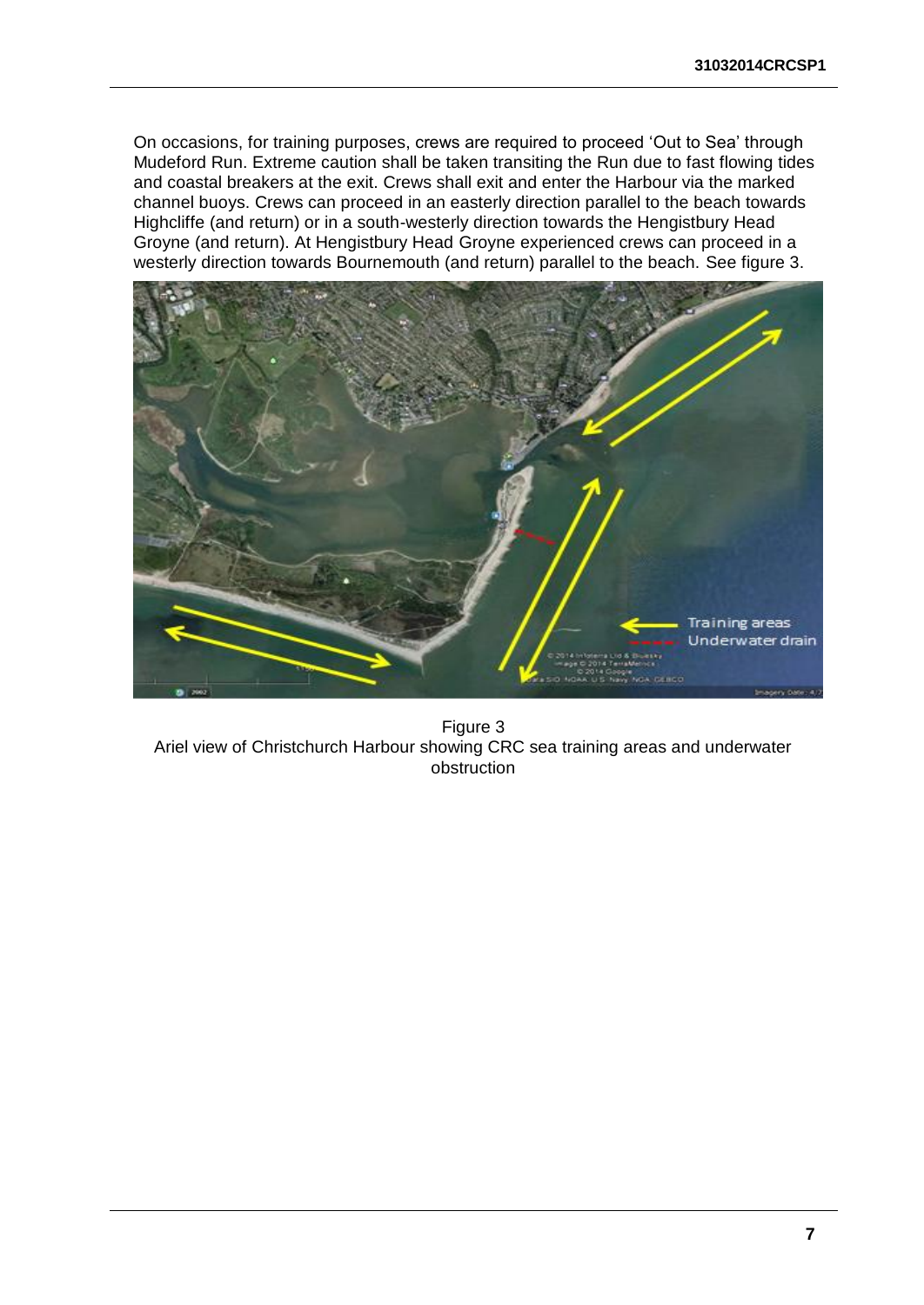On occasions, for training purposes, crews are required to proceed 'Out to Sea' through Mudeford Run. Extreme caution shall be taken transiting the Run due to fast flowing tides and coastal breakers at the exit. Crews shall exit and enter the Harbour via the marked channel buoys. Crews can proceed in an easterly direction parallel to the beach towards Highcliffe (and return) or in a south-westerly direction towards the Hengistbury Head Groyne (and return). At Hengistbury Head Groyne experienced crews can proceed in a westerly direction towards Bournemouth (and return) parallel to the beach. See figure 3.



Figure 3 Ariel view of Christchurch Harbour showing CRC sea training areas and underwater obstruction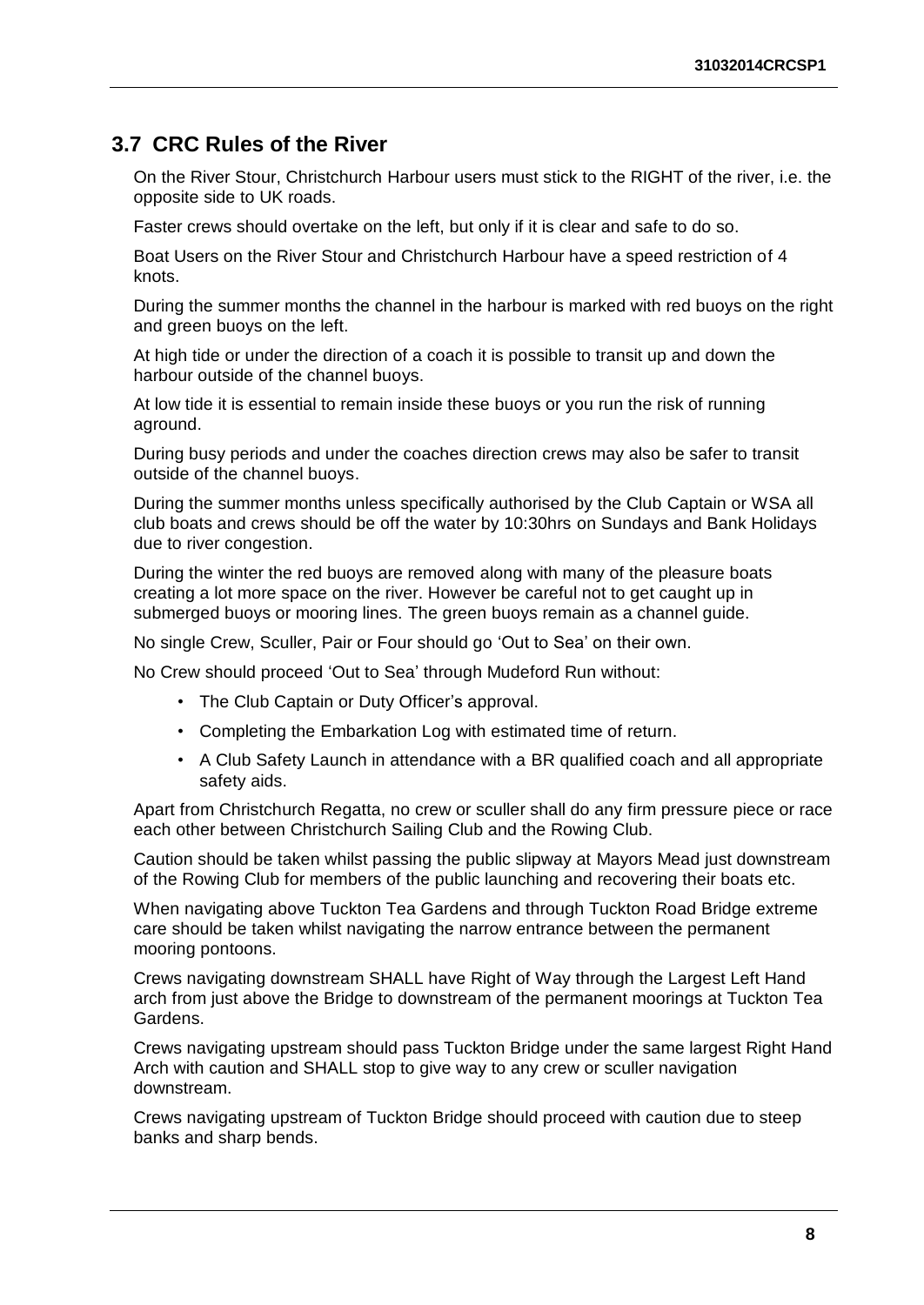### <span id="page-12-0"></span>**3.7 CRC Rules of the River**

On the River Stour, Christchurch Harbour users must stick to the RIGHT of the river, i.e. the opposite side to UK roads.

Faster crews should overtake on the left, but only if it is clear and safe to do so.

Boat Users on the River Stour and Christchurch Harbour have a speed restriction of 4 knots.

During the summer months the channel in the harbour is marked with red buoys on the right and green buoys on the left.

At high tide or under the direction of a coach it is possible to transit up and down the harbour outside of the channel buoys.

At low tide it is essential to remain inside these buoys or you run the risk of running aground.

During busy periods and under the coaches direction crews may also be safer to transit outside of the channel buoys.

During the summer months unless specifically authorised by the Club Captain or WSA all club boats and crews should be off the water by 10:30hrs on Sundays and Bank Holidays due to river congestion.

During the winter the red buoys are removed along with many of the pleasure boats creating a lot more space on the river. However be careful not to get caught up in submerged buoys or mooring lines. The green buoys remain as a channel guide.

No single Crew, Sculler, Pair or Four should go 'Out to Sea' on their own.

No Crew should proceed 'Out to Sea' through Mudeford Run without:

- The Club Captain or Duty Officer's approval.
- Completing the Embarkation Log with estimated time of return.
- A Club Safety Launch in attendance with a BR qualified coach and all appropriate safety aids.

Apart from Christchurch Regatta, no crew or sculler shall do any firm pressure piece or race each other between Christchurch Sailing Club and the Rowing Club.

Caution should be taken whilst passing the public slipway at Mayors Mead just downstream of the Rowing Club for members of the public launching and recovering their boats etc.

When navigating above Tuckton Tea Gardens and through Tuckton Road Bridge extreme care should be taken whilst navigating the narrow entrance between the permanent mooring pontoons.

Crews navigating downstream SHALL have Right of Way through the Largest Left Hand arch from just above the Bridge to downstream of the permanent moorings at Tuckton Tea Gardens.

Crews navigating upstream should pass Tuckton Bridge under the same largest Right Hand Arch with caution and SHALL stop to give way to any crew or sculler navigation downstream.

Crews navigating upstream of Tuckton Bridge should proceed with caution due to steep banks and sharp bends.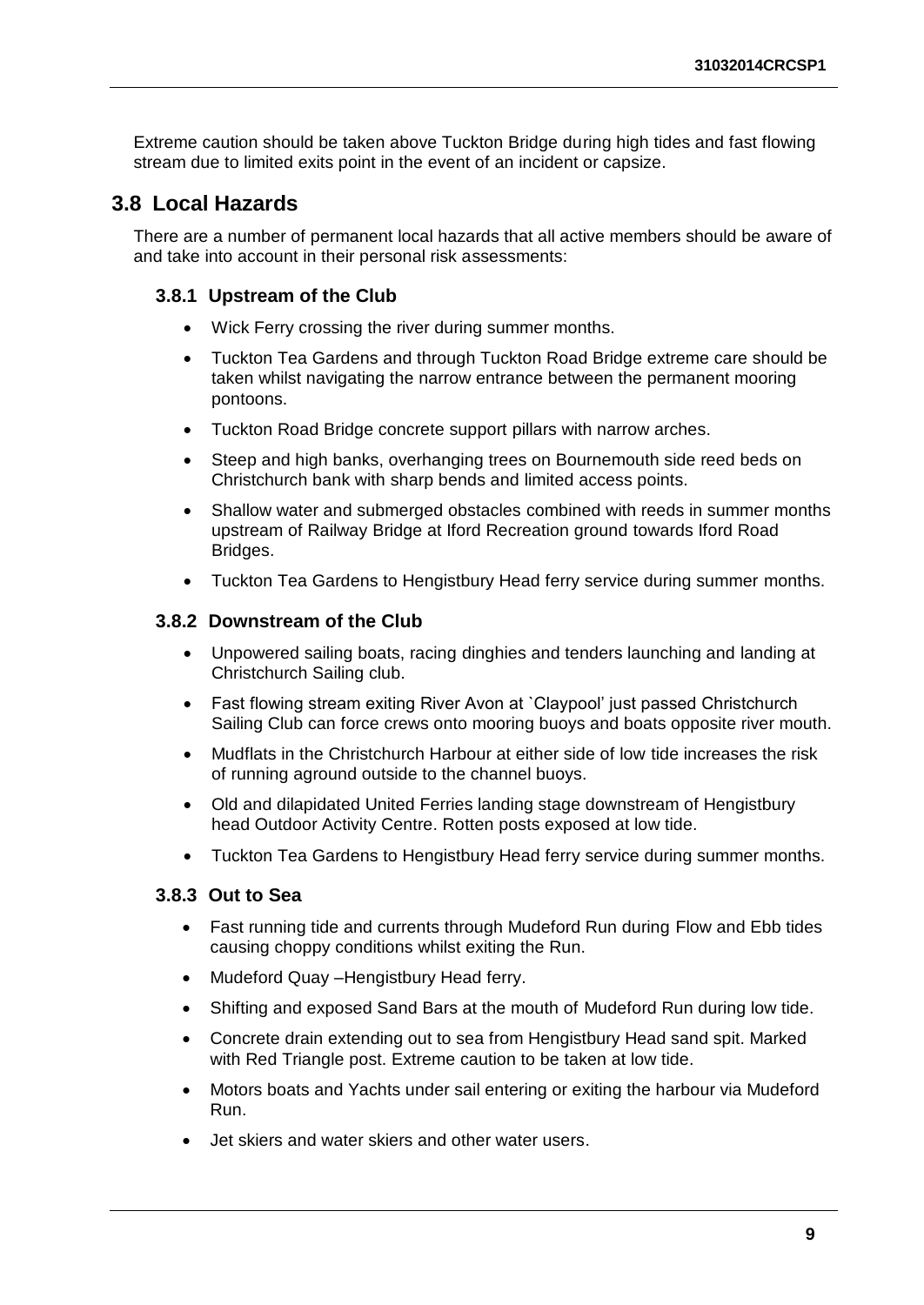Extreme caution should be taken above Tuckton Bridge during high tides and fast flowing stream due to limited exits point in the event of an incident or capsize.

### <span id="page-13-0"></span>**3.8 Local Hazards**

There are a number of permanent local hazards that all active members should be aware of and take into account in their personal risk assessments:

#### <span id="page-13-1"></span>**3.8.1 Upstream of the Club**

- Wick Ferry crossing the river during summer months.
- Tuckton Tea Gardens and through Tuckton Road Bridge extreme care should be taken whilst navigating the narrow entrance between the permanent mooring pontoons.
- Tuckton Road Bridge concrete support pillars with narrow arches.
- Steep and high banks, overhanging trees on Bournemouth side reed beds on Christchurch bank with sharp bends and limited access points.
- Shallow water and submerged obstacles combined with reeds in summer months upstream of Railway Bridge at Iford Recreation ground towards Iford Road Bridges.
- Tuckton Tea Gardens to Hengistbury Head ferry service during summer months.

#### <span id="page-13-2"></span>**3.8.2 Downstream of the Club**

- Unpowered sailing boats, racing dinghies and tenders launching and landing at Christchurch Sailing club.
- Fast flowing stream exiting River Avon at `Claypool' just passed Christchurch Sailing Club can force crews onto mooring buoys and boats opposite river mouth.
- Mudflats in the Christchurch Harbour at either side of low tide increases the risk of running aground outside to the channel buoys.
- Old and dilapidated United Ferries landing stage downstream of Hengistbury head Outdoor Activity Centre. Rotten posts exposed at low tide.
- Tuckton Tea Gardens to Hengistbury Head ferry service during summer months.

#### <span id="page-13-3"></span>**3.8.3 Out to Sea**

- Fast running tide and currents through Mudeford Run during Flow and Ebb tides causing choppy conditions whilst exiting the Run.
- Mudeford Quay –Hengistbury Head ferry.
- Shifting and exposed Sand Bars at the mouth of Mudeford Run during low tide.
- Concrete drain extending out to sea from Hengistbury Head sand spit. Marked with Red Triangle post. Extreme caution to be taken at low tide.
- Motors boats and Yachts under sail entering or exiting the harbour via Mudeford Run.
- Jet skiers and water skiers and other water users.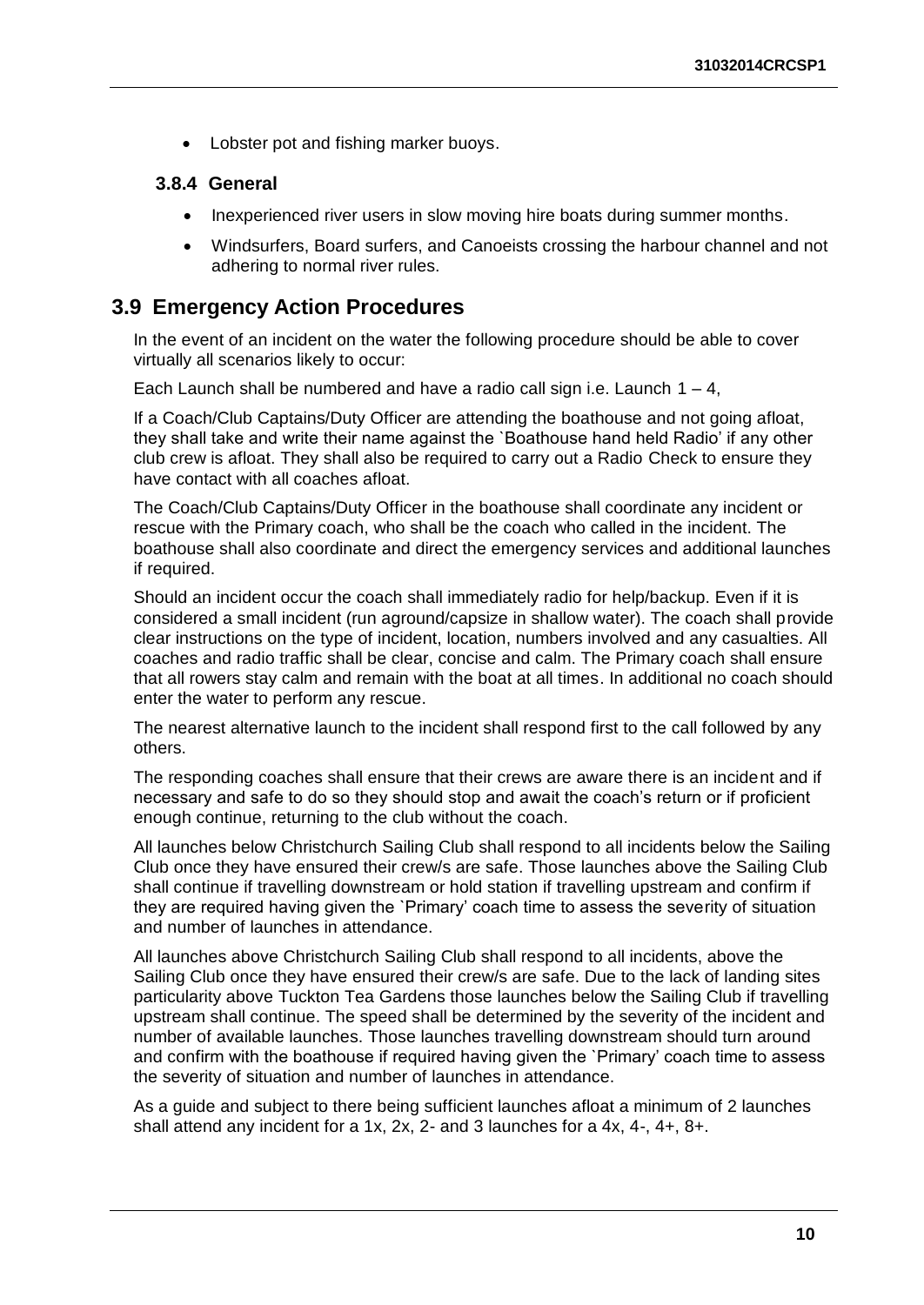• Lobster pot and fishing marker buoys.

#### <span id="page-14-0"></span>**3.8.4 General**

- Inexperienced river users in slow moving hire boats during summer months.
- Windsurfers, Board surfers, and Canoeists crossing the harbour channel and not adhering to normal river rules.

#### <span id="page-14-1"></span>**3.9 Emergency Action Procedures**

In the event of an incident on the water the following procedure should be able to cover virtually all scenarios likely to occur:

Each Launch shall be numbered and have a radio call sign i.e. Launch  $1 - 4$ ,

If a Coach/Club Captains/Duty Officer are attending the boathouse and not going afloat, they shall take and write their name against the `Boathouse hand held Radio' if any other club crew is afloat. They shall also be required to carry out a Radio Check to ensure they have contact with all coaches afloat.

The Coach/Club Captains/Duty Officer in the boathouse shall coordinate any incident or rescue with the Primary coach, who shall be the coach who called in the incident. The boathouse shall also coordinate and direct the emergency services and additional launches if required.

Should an incident occur the coach shall immediately radio for help/backup. Even if it is considered a small incident (run aground/capsize in shallow water). The coach shall provide clear instructions on the type of incident, location, numbers involved and any casualties. All coaches and radio traffic shall be clear, concise and calm. The Primary coach shall ensure that all rowers stay calm and remain with the boat at all times. In additional no coach should enter the water to perform any rescue.

The nearest alternative launch to the incident shall respond first to the call followed by any others.

The responding coaches shall ensure that their crews are aware there is an incident and if necessary and safe to do so they should stop and await the coach's return or if proficient enough continue, returning to the club without the coach.

All launches below Christchurch Sailing Club shall respond to all incidents below the Sailing Club once they have ensured their crew/s are safe. Those launches above the Sailing Club shall continue if travelling downstream or hold station if travelling upstream and confirm if they are required having given the `Primary' coach time to assess the severity of situation and number of launches in attendance.

All launches above Christchurch Sailing Club shall respond to all incidents, above the Sailing Club once they have ensured their crew/s are safe. Due to the lack of landing sites particularity above Tuckton Tea Gardens those launches below the Sailing Club if travelling upstream shall continue. The speed shall be determined by the severity of the incident and number of available launches. Those launches travelling downstream should turn around and confirm with the boathouse if required having given the `Primary' coach time to assess the severity of situation and number of launches in attendance.

As a guide and subject to there being sufficient launches afloat a minimum of 2 launches shall attend any incident for a 1x, 2x, 2- and 3 launches for a 4x, 4-, 4+, 8+.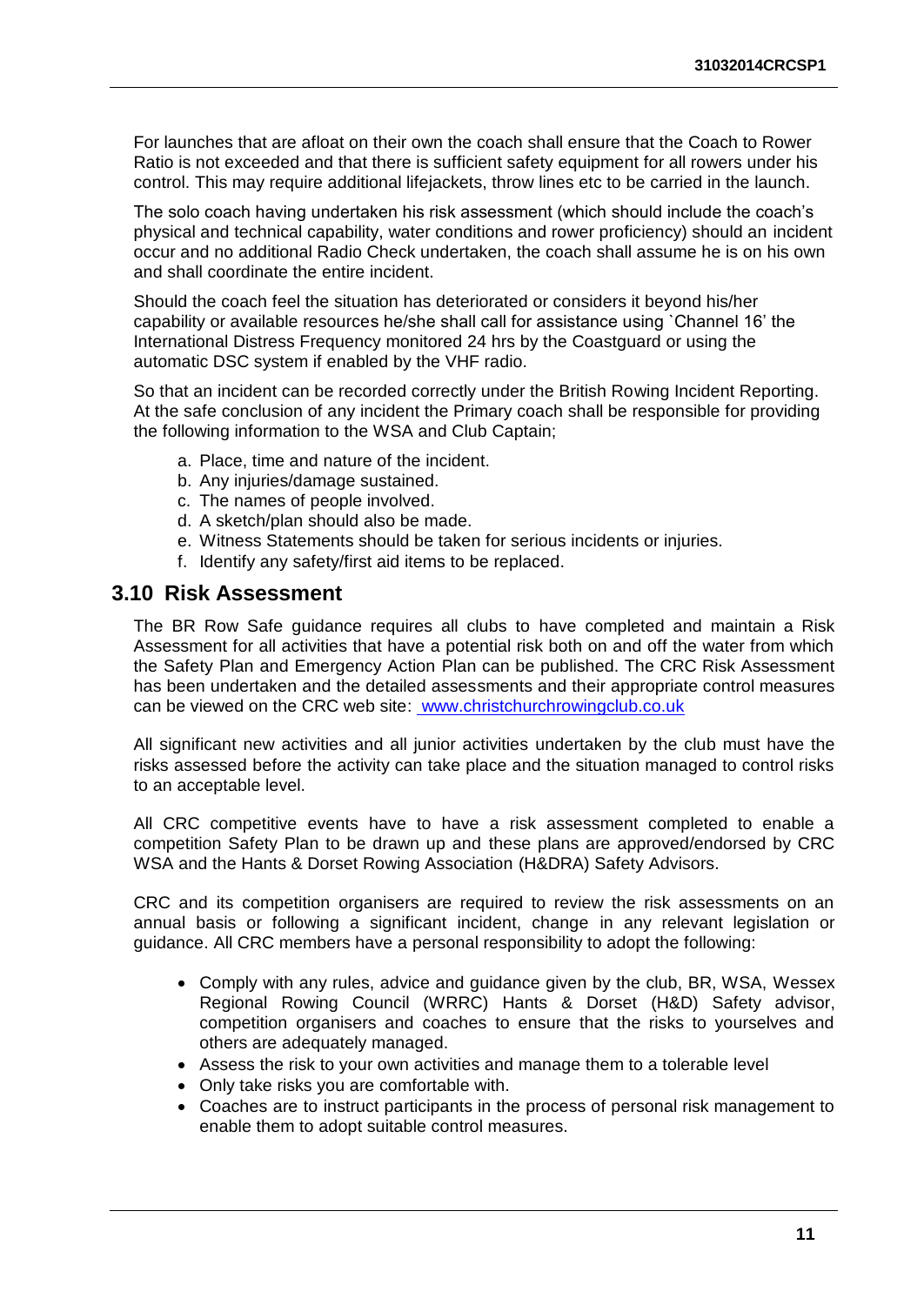For launches that are afloat on their own the coach shall ensure that the Coach to Rower Ratio is not exceeded and that there is sufficient safety equipment for all rowers under his control. This may require additional lifejackets, throw lines etc to be carried in the launch.

The solo coach having undertaken his risk assessment (which should include the coach's physical and technical capability, water conditions and rower proficiency) should an incident occur and no additional Radio Check undertaken, the coach shall assume he is on his own and shall coordinate the entire incident.

Should the coach feel the situation has deteriorated or considers it beyond his/her capability or available resources he/she shall call for assistance using `Channel 16' the International Distress Frequency monitored 24 hrs by the Coastguard or using the automatic DSC system if enabled by the VHF radio.

So that an incident can be recorded correctly under the British Rowing Incident Reporting. At the safe conclusion of any incident the Primary coach shall be responsible for providing the following information to the WSA and Club Captain;

- a. Place, time and nature of the incident.
- b. Any injuries/damage sustained.
- c. The names of people involved.
- d. A sketch/plan should also be made.
- e. Witness Statements should be taken for serious incidents or injuries.
- f. Identify any safety/first aid items to be replaced.

#### <span id="page-15-0"></span>**3.10 Risk Assessment**

The BR Row Safe guidance requires all clubs to have completed and maintain a Risk Assessment for all activities that have a potential risk both on and off the water from which the Safety Plan and Emergency Action Plan can be published. The CRC Risk Assessment has been undertaken and the detailed assessments and their appropriate control measures can be viewed on the CRC web site: www.christchurchrowingclub.co.uk

All significant new activities and all junior activities undertaken by the club must have the risks assessed before the activity can take place and the situation managed to control risks to an acceptable level.

All CRC competitive events have to have a risk assessment completed to enable a competition Safety Plan to be drawn up and these plans are approved/endorsed by CRC WSA and the Hants & Dorset Rowing Association (H&DRA) Safety Advisors.

CRC and its competition organisers are required to review the risk assessments on an annual basis or following a significant incident, change in any relevant legislation or guidance. All CRC members have a personal responsibility to adopt the following:

- Comply with any rules, advice and guidance given by the club, BR, WSA, Wessex Regional Rowing Council (WRRC) Hants & Dorset (H&D) Safety advisor, competition organisers and coaches to ensure that the risks to yourselves and others are adequately managed.
- Assess the risk to your own activities and manage them to a tolerable level
- Only take risks you are comfortable with.
- Coaches are to instruct participants in the process of personal risk management to enable them to adopt suitable control measures.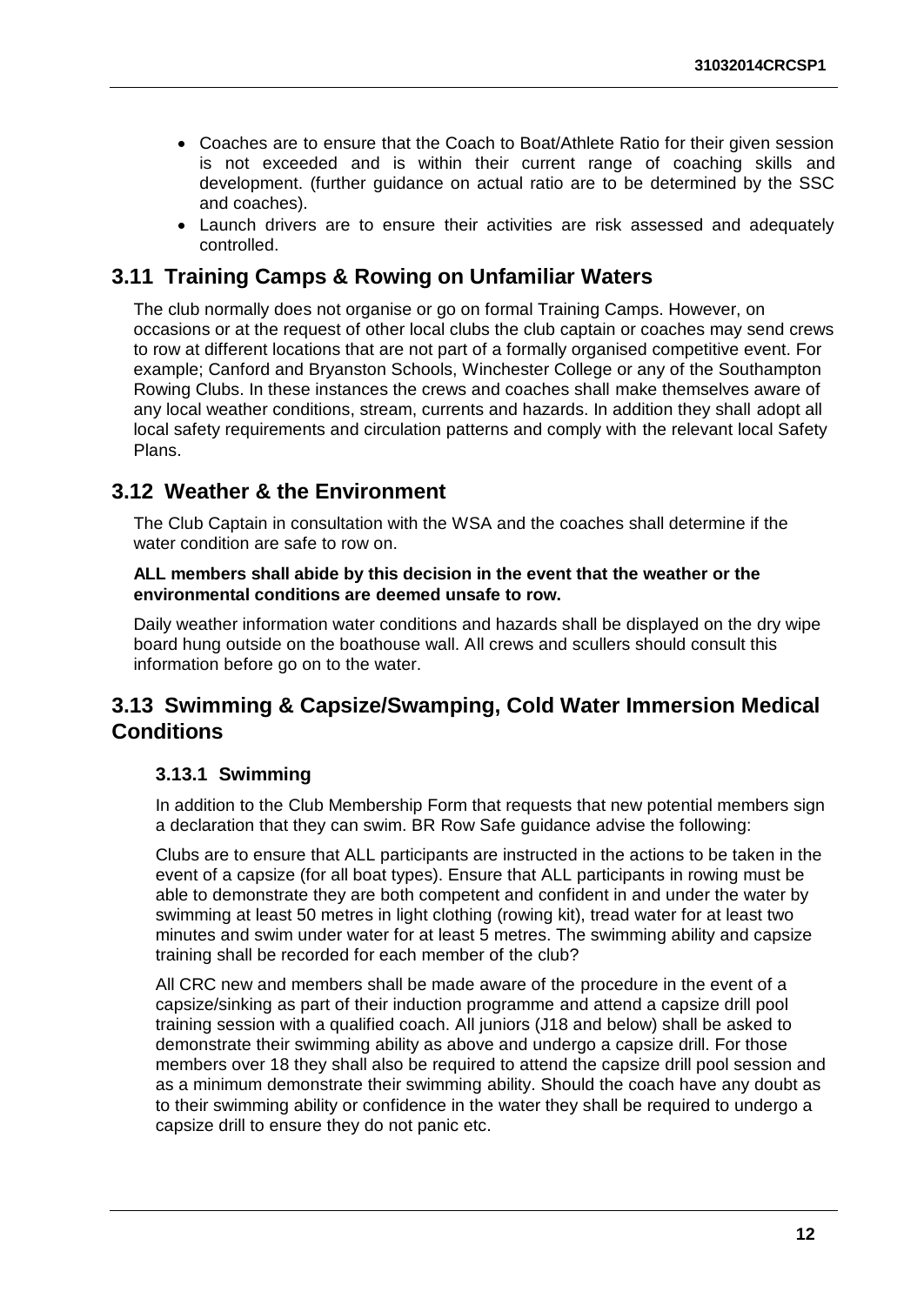- Coaches are to ensure that the Coach to Boat/Athlete Ratio for their given session is not exceeded and is within their current range of coaching skills and development. (further guidance on actual ratio are to be determined by the SSC and coaches).
- Launch drivers are to ensure their activities are risk assessed and adequately controlled.

#### <span id="page-16-0"></span>**3.11 Training Camps & Rowing on Unfamiliar Waters**

The club normally does not organise or go on formal Training Camps. However, on occasions or at the request of other local clubs the club captain or coaches may send crews to row at different locations that are not part of a formally organised competitive event. For example; Canford and Bryanston Schools, Winchester College or any of the Southampton Rowing Clubs. In these instances the crews and coaches shall make themselves aware of any local weather conditions, stream, currents and hazards. In addition they shall adopt all local safety requirements and circulation patterns and comply with the relevant local Safety Plans.

#### <span id="page-16-1"></span>**3.12 Weather & the Environment**

The Club Captain in consultation with the WSA and the coaches shall determine if the water condition are safe to row on.

#### **ALL members shall abide by this decision in the event that the weather or the environmental conditions are deemed unsafe to row.**

Daily weather information water conditions and hazards shall be displayed on the dry wipe board hung outside on the boathouse wall. All crews and scullers should consult this information before go on to the water.

### <span id="page-16-2"></span>**3.13 Swimming & Capsize/Swamping, Cold Water Immersion Medical Conditions**

#### <span id="page-16-3"></span>**3.13.1 Swimming**

In addition to the Club Membership Form that requests that new potential members sign a declaration that they can swim. BR Row Safe guidance advise the following:

Clubs are to ensure that ALL participants are instructed in the actions to be taken in the event of a capsize (for all boat types). Ensure that ALL participants in rowing must be able to demonstrate they are both competent and confident in and under the water by swimming at least 50 metres in light clothing (rowing kit), tread water for at least two minutes and swim under water for at least 5 metres. The swimming ability and capsize training shall be recorded for each member of the club?

All CRC new and members shall be made aware of the procedure in the event of a capsize/sinking as part of their induction programme and attend a capsize drill pool training session with a qualified coach. All juniors (J18 and below) shall be asked to demonstrate their swimming ability as above and undergo a capsize drill. For those members over 18 they shall also be required to attend the capsize drill pool session and as a minimum demonstrate their swimming ability. Should the coach have any doubt as to their swimming ability or confidence in the water they shall be required to undergo a capsize drill to ensure they do not panic etc.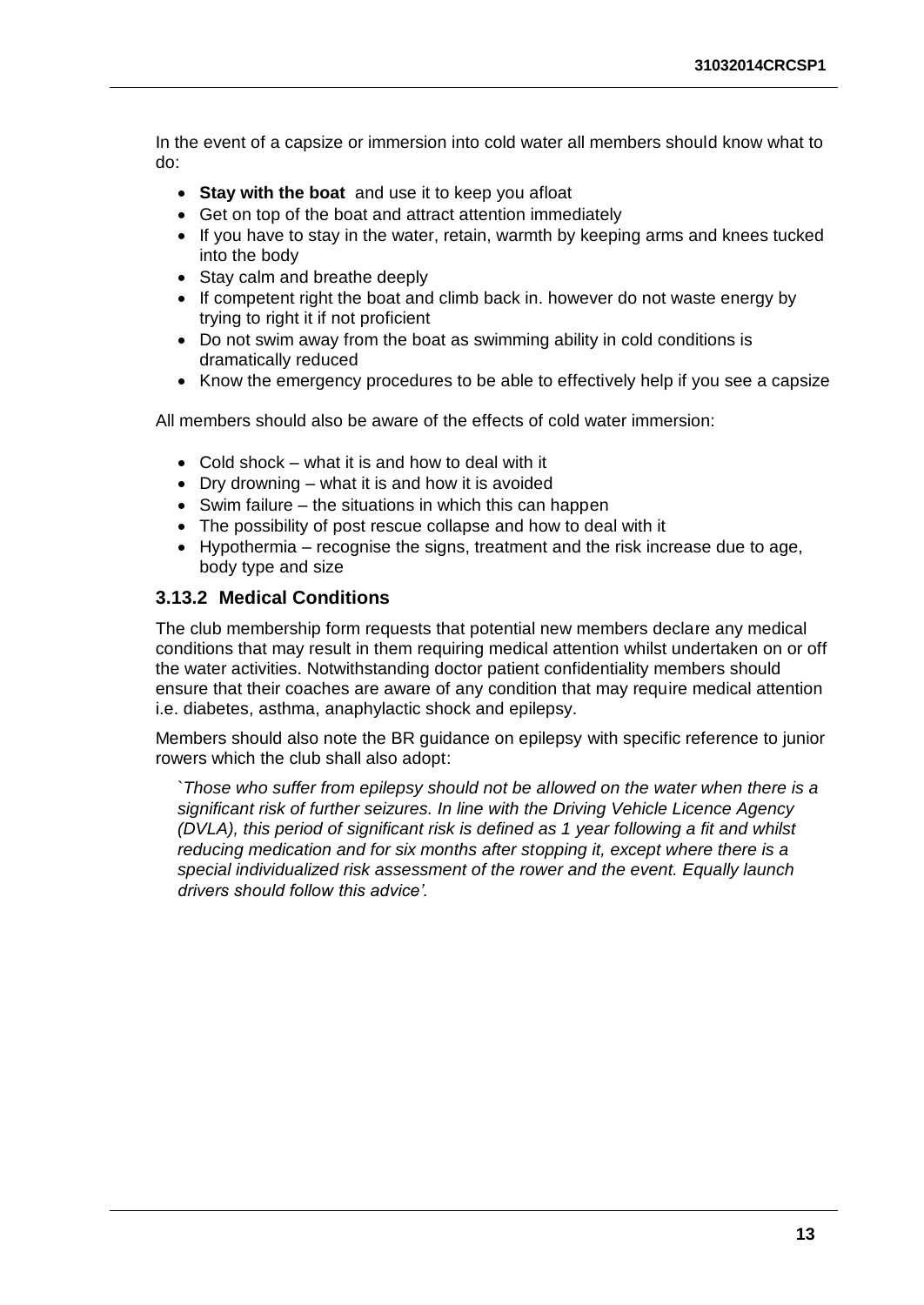In the event of a capsize or immersion into cold water all members should know what to do:

- **Stay with the boat** and use it to keep you afloat
- Get on top of the boat and attract attention immediately
- If you have to stay in the water, retain, warmth by keeping arms and knees tucked into the body
- Stay calm and breathe deeply
- If competent right the boat and climb back in. however do not waste energy by trying to right it if not proficient
- Do not swim away from the boat as swimming ability in cold conditions is dramatically reduced
- Know the emergency procedures to be able to effectively help if you see a capsize

All members should also be aware of the effects of cold water immersion:

- Cold shock what it is and how to deal with it
- Dry drowning what it is and how it is avoided
- $\bullet$  Swim failure the situations in which this can happen
- The possibility of post rescue collapse and how to deal with it
- $\bullet$  Hypothermia recognise the signs, treatment and the risk increase due to age, body type and size

#### <span id="page-17-0"></span>**3.13.2 Medical Conditions**

The club membership form requests that potential new members declare any medical conditions that may result in them requiring medical attention whilst undertaken on or off the water activities. Notwithstanding doctor patient confidentiality members should ensure that their coaches are aware of any condition that may require medical attention i.e. diabetes, asthma, anaphylactic shock and epilepsy.

Members should also note the BR guidance on epilepsy with specific reference to junior rowers which the club shall also adopt:

`*Those who suffer from epilepsy should not be allowed on the water when there is a significant risk of further seizures. In line with the Driving Vehicle Licence Agency (DVLA), this period of significant risk is defined as 1 year following a fit and whilst reducing medication and for six months after stopping it, except where there is a special individualized risk assessment of the rower and the event. Equally launch drivers should follow this advice'.*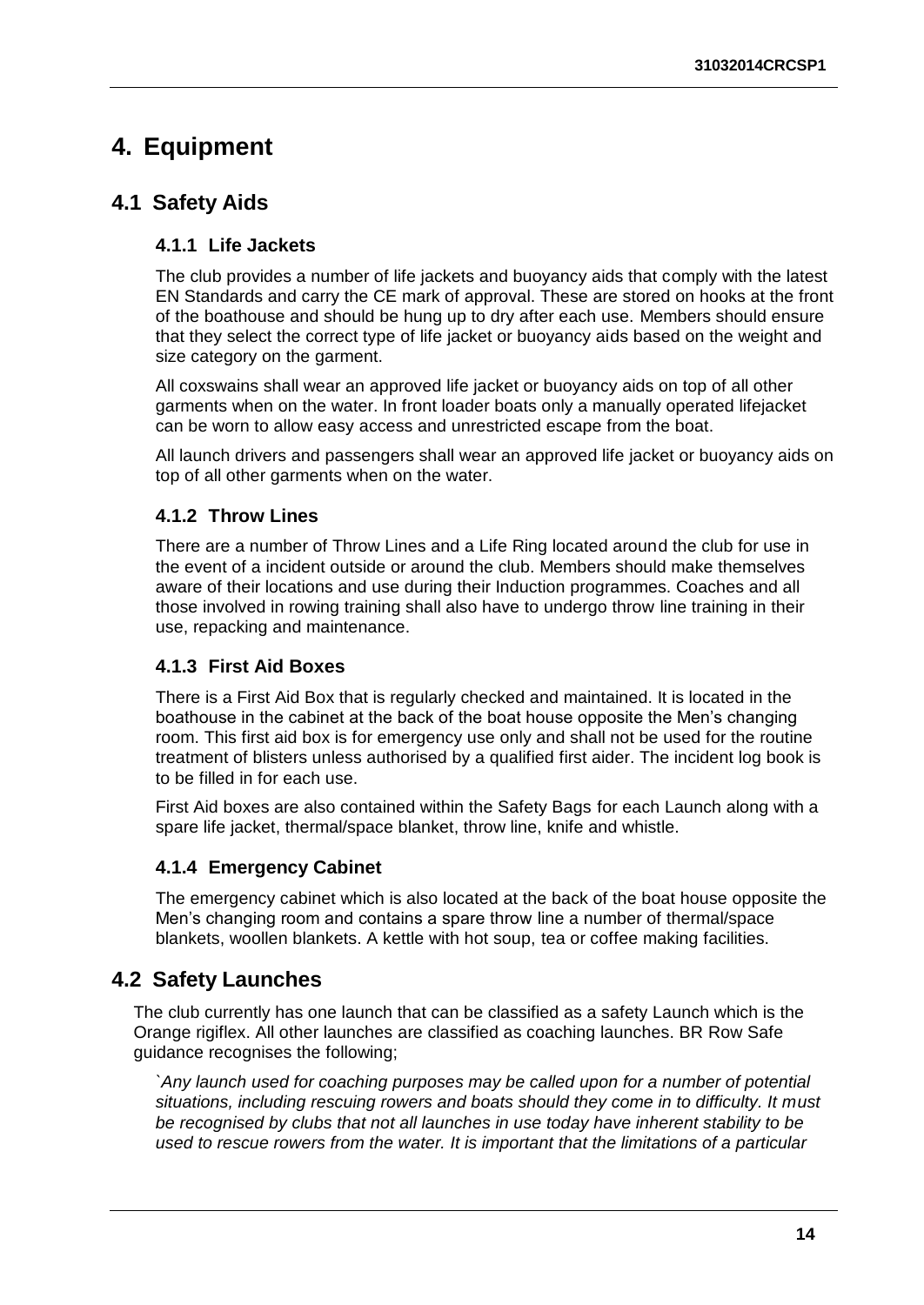# <span id="page-18-0"></span>**4. Equipment**

### <span id="page-18-2"></span><span id="page-18-1"></span>**4.1 Safety Aids**

#### **4.1.1 Life Jackets**

The club provides a number of life jackets and buoyancy aids that comply with the latest EN Standards and carry the CE mark of approval. These are stored on hooks at the front of the boathouse and should be hung up to dry after each use. Members should ensure that they select the correct type of life jacket or buoyancy aids based on the weight and size category on the garment.

All coxswains shall wear an approved life jacket or buoyancy aids on top of all other garments when on the water. In front loader boats only a manually operated lifejacket can be worn to allow easy access and unrestricted escape from the boat.

All launch drivers and passengers shall wear an approved life jacket or buoyancy aids on top of all other garments when on the water.

#### <span id="page-18-3"></span>**4.1.2 Throw Lines**

There are a number of Throw Lines and a Life Ring located around the club for use in the event of a incident outside or around the club. Members should make themselves aware of their locations and use during their Induction programmes. Coaches and all those involved in rowing training shall also have to undergo throw line training in their use, repacking and maintenance.

#### <span id="page-18-4"></span>**4.1.3 First Aid Boxes**

There is a First Aid Box that is regularly checked and maintained. It is located in the boathouse in the cabinet at the back of the boat house opposite the Men's changing room. This first aid box is for emergency use only and shall not be used for the routine treatment of blisters unless authorised by a qualified first aider. The incident log book is to be filled in for each use.

First Aid boxes are also contained within the Safety Bags for each Launch along with a spare life jacket, thermal/space blanket, throw line, knife and whistle.

#### <span id="page-18-5"></span>**4.1.4 Emergency Cabinet**

The emergency cabinet which is also located at the back of the boat house opposite the Men's changing room and contains a spare throw line a number of thermal/space blankets, woollen blankets. A kettle with hot soup, tea or coffee making facilities.

### <span id="page-18-6"></span>**4.2 Safety Launches**

The club currently has one launch that can be classified as a safety Launch which is the Orange rigiflex. All other launches are classified as coaching launches. BR Row Safe guidance recognises the following;

*`Any launch used for coaching purposes may be called upon for a number of potential situations, including rescuing rowers and boats should they come in to difficulty. It must be recognised by clubs that not all launches in use today have inherent stability to be used to rescue rowers from the water. It is important that the limitations of a particular*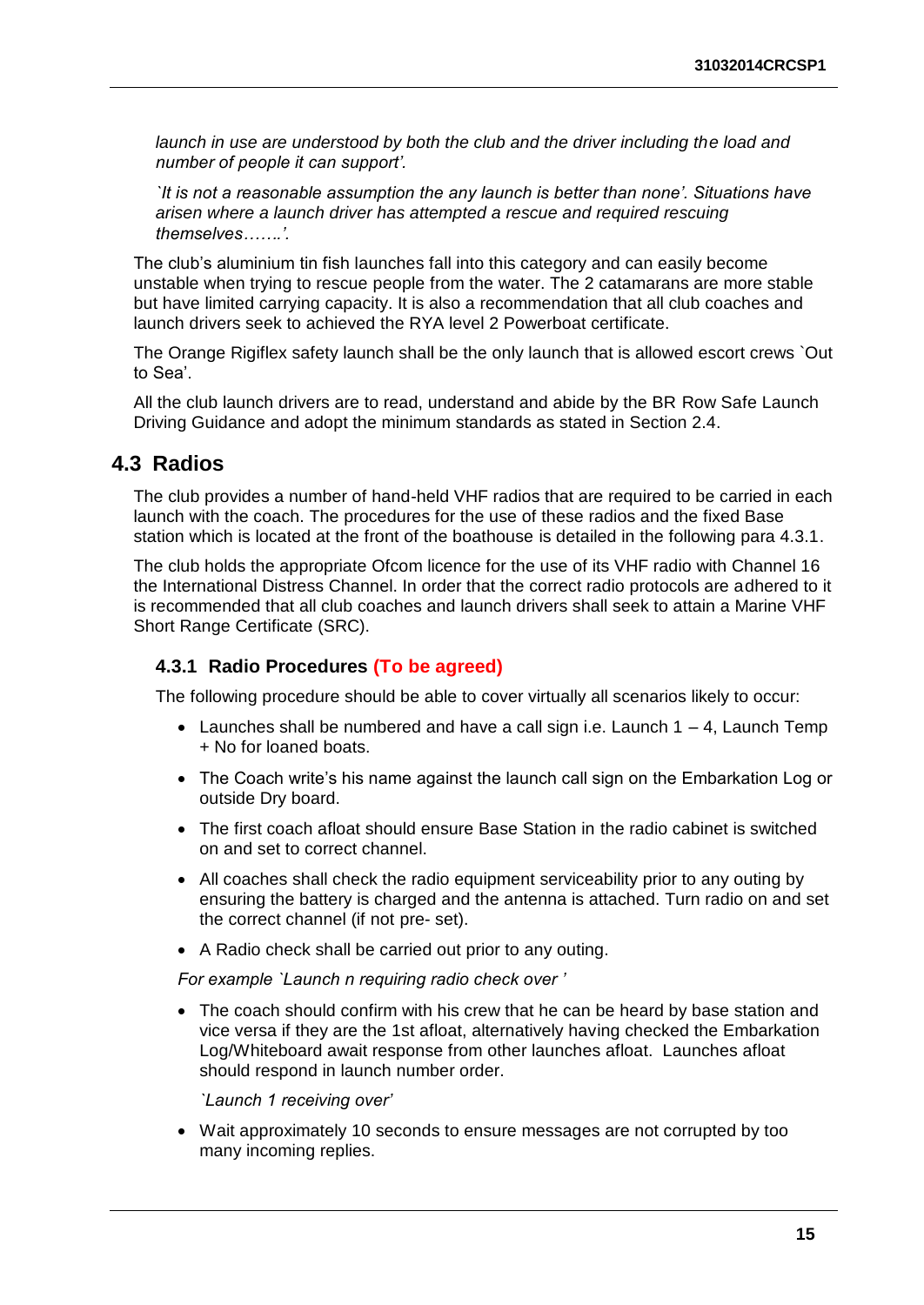*launch in use are understood by both the club and the driver including the load and number of people it can support'.* 

*`It is not a reasonable assumption the any launch is better than none'. Situations have arisen where a launch driver has attempted a rescue and required rescuing themselves…….'.* 

The club's aluminium tin fish launches fall into this category and can easily become unstable when trying to rescue people from the water. The 2 catamarans are more stable but have limited carrying capacity. It is also a recommendation that all club coaches and launch drivers seek to achieved the RYA level 2 Powerboat certificate.

The Orange Rigiflex safety launch shall be the only launch that is allowed escort crews `Out to Sea'.

All the club launch drivers are to read, understand and abide by the BR Row Safe Launch Driving Guidance and adopt the minimum standards as stated in Section 2.4.

#### <span id="page-19-0"></span>**4.3 Radios**

The club provides a number of hand-held VHF radios that are required to be carried in each launch with the coach. The procedures for the use of these radios and the fixed Base station which is located at the front of the boathouse is detailed in the following para 4.3.1.

The club holds the appropriate Ofcom licence for the use of its VHF radio with Channel 16 the International Distress Channel. In order that the correct radio protocols are adhered to it is recommended that all club coaches and launch drivers shall seek to attain a Marine VHF Short Range Certificate (SRC).

#### <span id="page-19-1"></span>**4.3.1 Radio Procedures (To be agreed)**

The following procedure should be able to cover virtually all scenarios likely to occur:

- Launches shall be numbered and have a call sign i.e. Launch  $1 4$ , Launch Temp + No for loaned boats.
- The Coach write's his name against the launch call sign on the Embarkation Log or outside Dry board.
- The first coach afloat should ensure Base Station in the radio cabinet is switched on and set to correct channel.
- All coaches shall check the radio equipment serviceability prior to any outing by ensuring the battery is charged and the antenna is attached. Turn radio on and set the correct channel (if not pre- set).
- A Radio check shall be carried out prior to any outing.

*For example `Launch n requiring radio check over '*

• The coach should confirm with his crew that he can be heard by base station and vice versa if they are the 1st afloat, alternatively having checked the Embarkation Log/Whiteboard await response from other launches afloat. Launches afloat should respond in launch number order.

*`Launch 1 receiving over'* 

 Wait approximately 10 seconds to ensure messages are not corrupted by too many incoming replies.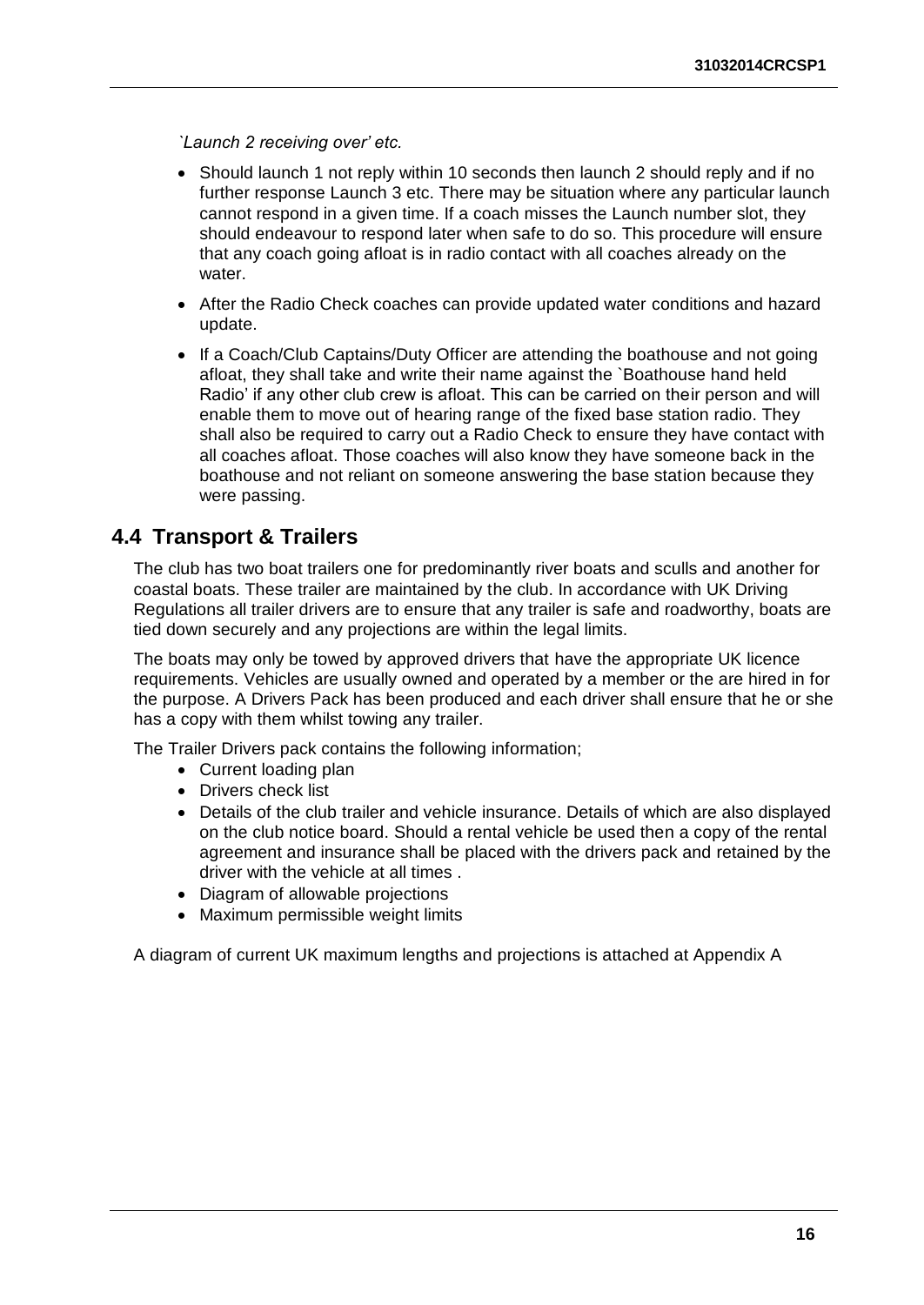*`Launch 2 receiving over' etc.* 

- Should launch 1 not reply within 10 seconds then launch 2 should reply and if no further response Launch 3 etc. There may be situation where any particular launch cannot respond in a given time. If a coach misses the Launch number slot, they should endeavour to respond later when safe to do so. This procedure will ensure that any coach going afloat is in radio contact with all coaches already on the water.
- After the Radio Check coaches can provide updated water conditions and hazard update.
- If a Coach/Club Captains/Duty Officer are attending the boathouse and not going afloat, they shall take and write their name against the `Boathouse hand held Radio' if any other club crew is afloat. This can be carried on their person and will enable them to move out of hearing range of the fixed base station radio. They shall also be required to carry out a Radio Check to ensure they have contact with all coaches afloat. Those coaches will also know they have someone back in the boathouse and not reliant on someone answering the base station because they were passing.

#### <span id="page-20-0"></span>**4.4 Transport & Trailers**

The club has two boat trailers one for predominantly river boats and sculls and another for coastal boats. These trailer are maintained by the club. In accordance with UK Driving Regulations all trailer drivers are to ensure that any trailer is safe and roadworthy, boats are tied down securely and any projections are within the legal limits.

The boats may only be towed by approved drivers that have the appropriate UK licence requirements. Vehicles are usually owned and operated by a member or the are hired in for the purpose. A Drivers Pack has been produced and each driver shall ensure that he or she has a copy with them whilst towing any trailer.

The Trailer Drivers pack contains the following information;

- Current loading plan
- Drivers check list
- Details of the club trailer and vehicle insurance. Details of which are also displayed on the club notice board. Should a rental vehicle be used then a copy of the rental agreement and insurance shall be placed with the drivers pack and retained by the driver with the vehicle at all times .
- Diagram of allowable projections
- Maximum permissible weight limits

A diagram of current UK maximum lengths and projections is attached at Appendix A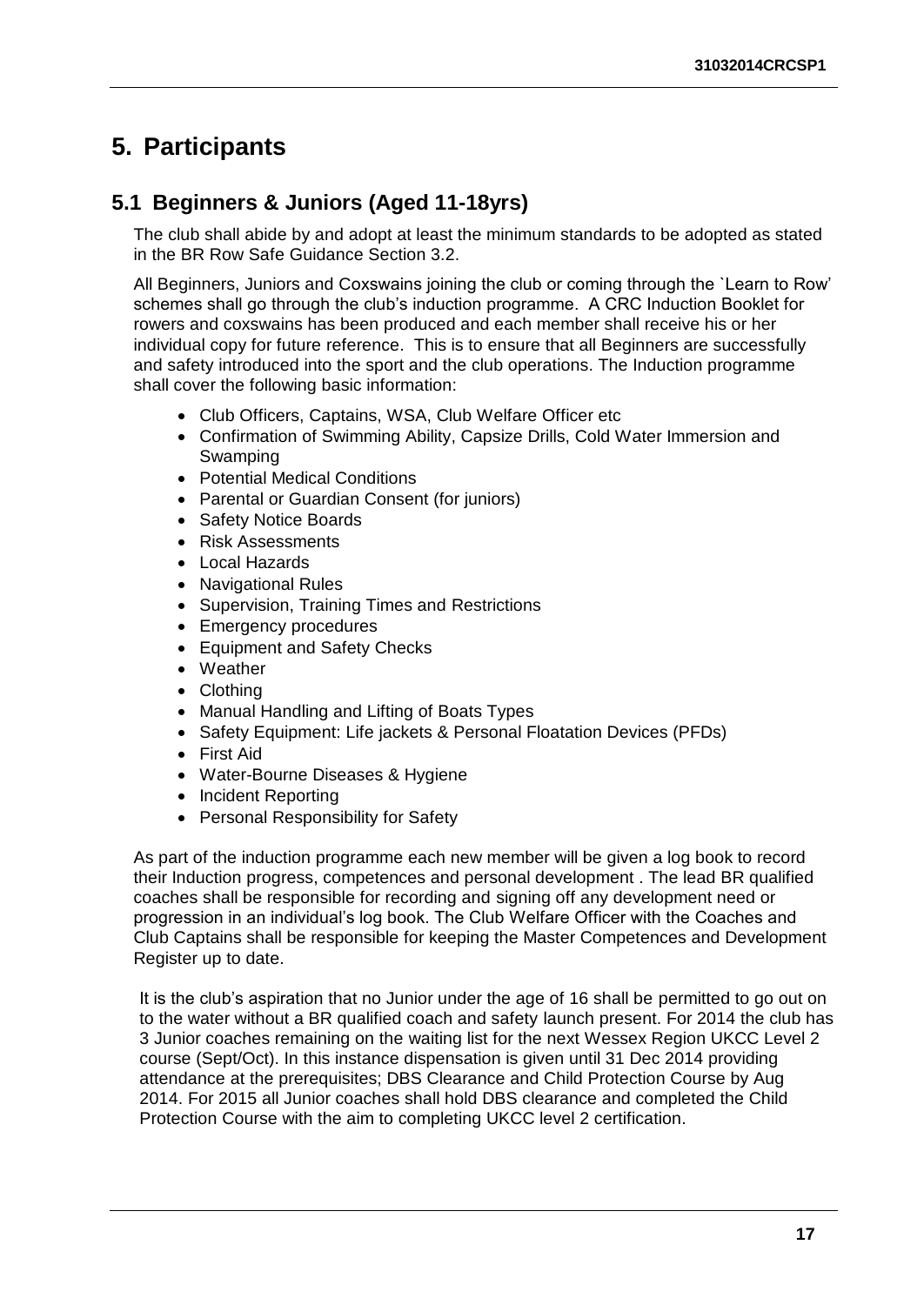# <span id="page-21-0"></span>**5. Participants**

### <span id="page-21-1"></span>**5.1 Beginners & Juniors (Aged 11-18yrs)**

The club shall abide by and adopt at least the minimum standards to be adopted as stated in the BR Row Safe Guidance Section 3.2.

All Beginners, Juniors and Coxswains joining the club or coming through the `Learn to Row' schemes shall go through the club's induction programme. A CRC Induction Booklet for rowers and coxswains has been produced and each member shall receive his or her individual copy for future reference. This is to ensure that all Beginners are successfully and safety introduced into the sport and the club operations. The Induction programme shall cover the following basic information:

- Club Officers, Captains, WSA, Club Welfare Officer etc
- Confirmation of Swimming Ability, Capsize Drills, Cold Water Immersion and Swamping
- Potential Medical Conditions
- Parental or Guardian Consent (for juniors)
- Safety Notice Boards
- Risk Assessments
- Local Hazards
- Navigational Rules
- Supervision, Training Times and Restrictions
- Emergency procedures
- Equipment and Safety Checks
- Weather
- Clothina
- Manual Handling and Lifting of Boats Types
- Safety Equipment: Life jackets & Personal Floatation Devices (PFDs)
- First Aid
- Water-Bourne Diseases & Hygiene
- Incident Reporting
- Personal Responsibility for Safety

As part of the induction programme each new member will be given a log book to record their Induction progress, competences and personal development . The lead BR qualified coaches shall be responsible for recording and signing off any development need or progression in an individual's log book. The Club Welfare Officer with the Coaches and Club Captains shall be responsible for keeping the Master Competences and Development Register up to date.

It is the club's aspiration that no Junior under the age of 16 shall be permitted to go out on to the water without a BR qualified coach and safety launch present. For 2014 the club has 3 Junior coaches remaining on the waiting list for the next Wessex Region UKCC Level 2 course (Sept/Oct). In this instance dispensation is given until 31 Dec 2014 providing attendance at the prerequisites; DBS Clearance and Child Protection Course by Aug 2014. For 2015 all Junior coaches shall hold DBS clearance and completed the Child Protection Course with the aim to completing UKCC level 2 certification.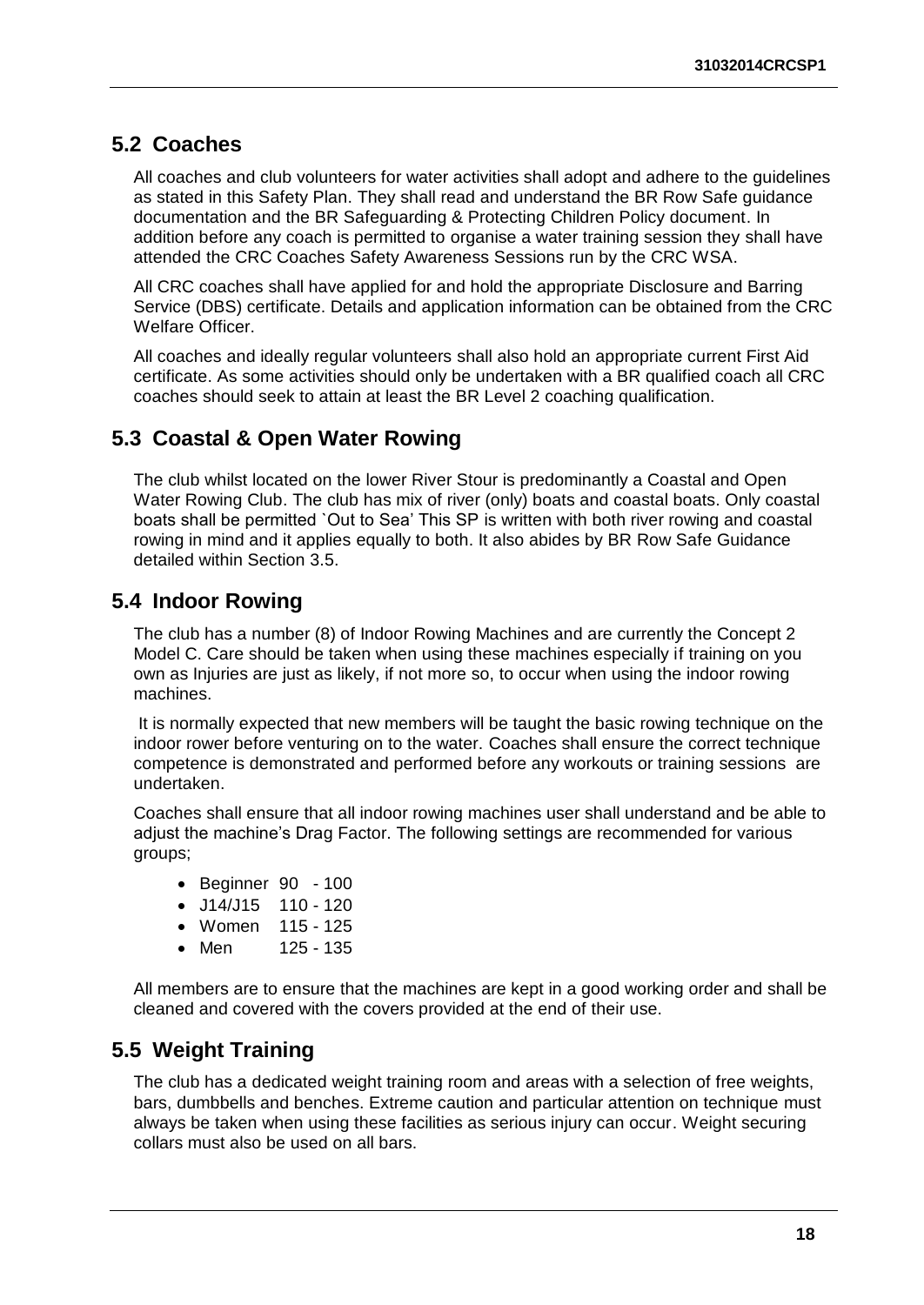#### <span id="page-22-0"></span>**5.2 Coaches**

All coaches and club volunteers for water activities shall adopt and adhere to the guidelines as stated in this Safety Plan. They shall read and understand the BR Row Safe guidance documentation and the BR Safeguarding & Protecting Children Policy document. In addition before any coach is permitted to organise a water training session they shall have attended the CRC Coaches Safety Awareness Sessions run by the CRC WSA.

All CRC coaches shall have applied for and hold the appropriate Disclosure and Barring Service (DBS) certificate. Details and application information can be obtained from the CRC Welfare Officer.

All coaches and ideally regular volunteers shall also hold an appropriate current First Aid certificate. As some activities should only be undertaken with a BR qualified coach all CRC coaches should seek to attain at least the BR Level 2 coaching qualification.

#### <span id="page-22-1"></span>**5.3 Coastal & Open Water Rowing**

The club whilst located on the lower River Stour is predominantly a Coastal and Open Water Rowing Club. The club has mix of river (only) boats and coastal boats. Only coastal boats shall be permitted `Out to Sea' This SP is written with both river rowing and coastal rowing in mind and it applies equally to both. It also abides by BR Row Safe Guidance detailed within Section 3.5.

#### <span id="page-22-2"></span>**5.4 Indoor Rowing**

The club has a number (8) of Indoor Rowing Machines and are currently the Concept 2 Model C. Care should be taken when using these machines especially if training on you own as Injuries are just as likely, if not more so, to occur when using the indoor rowing machines.

It is normally expected that new members will be taught the basic rowing technique on the indoor rower before venturing on to the water. Coaches shall ensure the correct technique competence is demonstrated and performed before any workouts or training sessions are undertaken.

Coaches shall ensure that all indoor rowing machines user shall understand and be able to adjust the machine's Drag Factor. The following settings are recommended for various groups;

- Beginner 90 100
- $\bullet$  J14/J15 110 120
- Women 115 125
- Men 125 135

All members are to ensure that the machines are kept in a good working order and shall be cleaned and covered with the covers provided at the end of their use.

#### <span id="page-22-3"></span>**5.5 Weight Training**

The club has a dedicated weight training room and areas with a selection of free weights, bars, dumbbells and benches. Extreme caution and particular attention on technique must always be taken when using these facilities as serious injury can occur. Weight securing collars must also be used on all bars.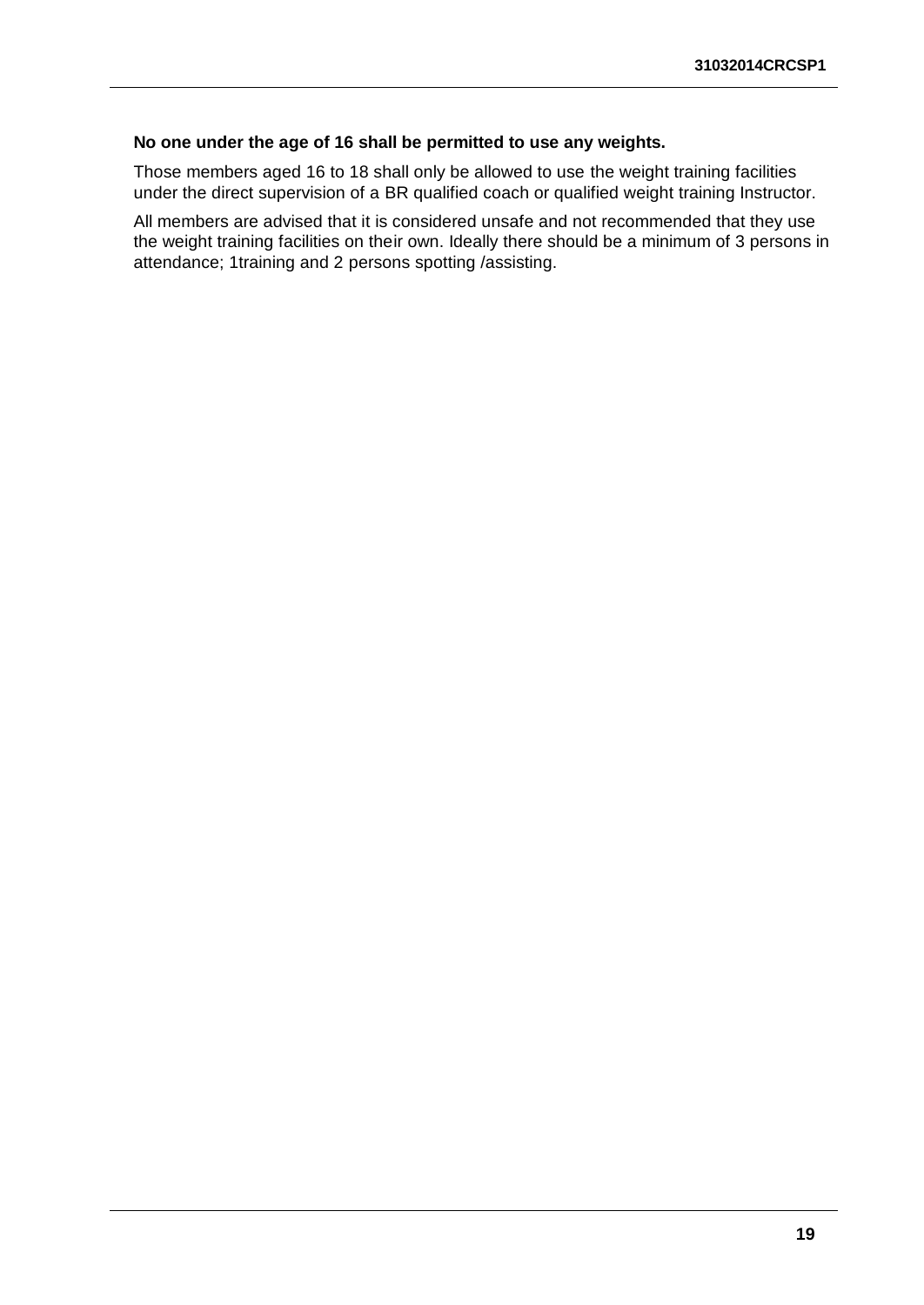#### **No one under the age of 16 shall be permitted to use any weights.**

Those members aged 16 to 18 shall only be allowed to use the weight training facilities under the direct supervision of a BR qualified coach or qualified weight training Instructor.

All members are advised that it is considered unsafe and not recommended that they use the weight training facilities on their own. Ideally there should be a minimum of 3 persons in attendance; 1training and 2 persons spotting /assisting.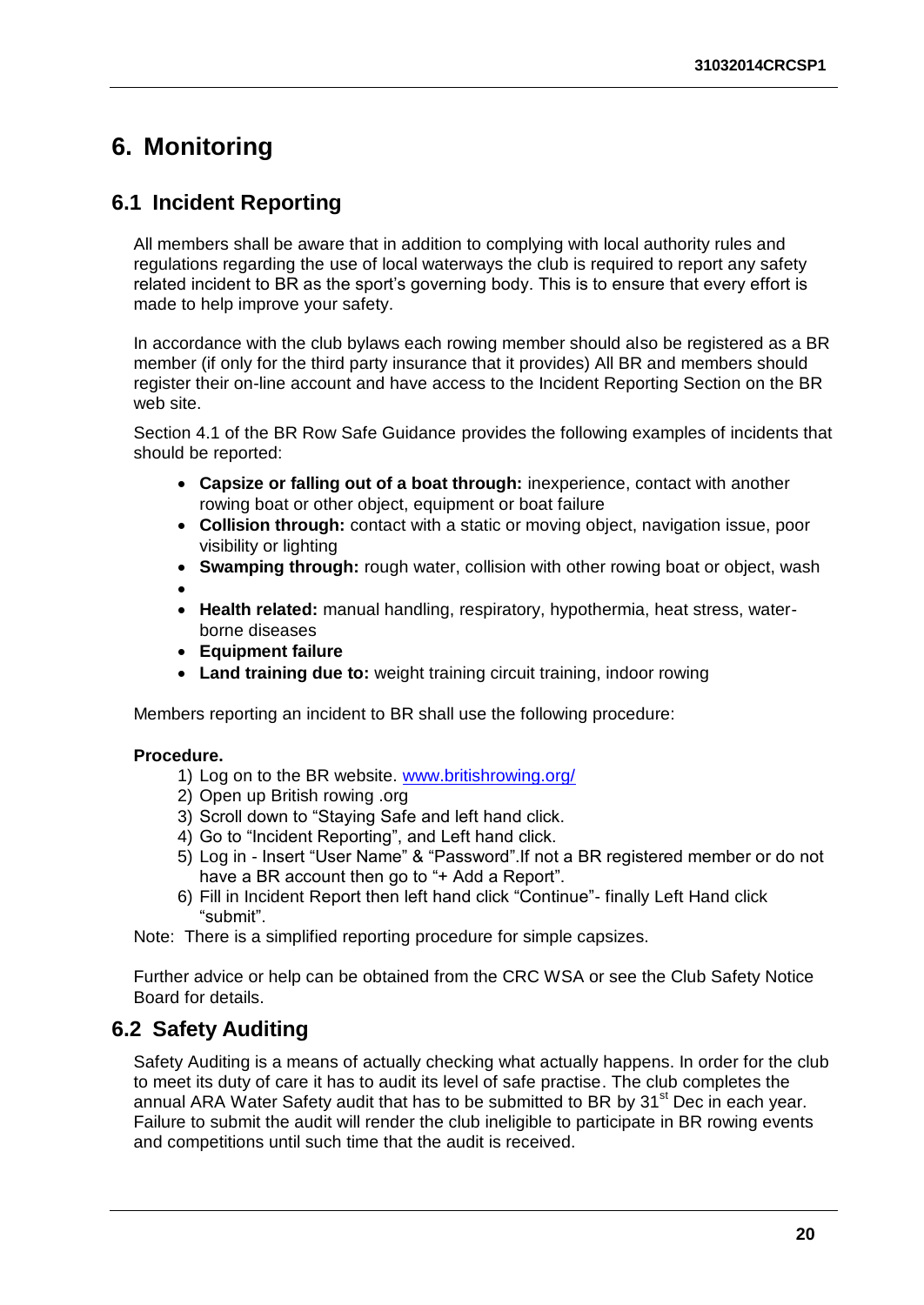## <span id="page-24-0"></span>**6. Monitoring**

### <span id="page-24-1"></span>**6.1 Incident Reporting**

All members shall be aware that in addition to complying with local authority rules and regulations regarding the use of local waterways the club is required to report any safety related incident to BR as the sport's governing body. This is to ensure that every effort is made to help improve your safety.

In accordance with the club bylaws each rowing member should also be registered as a BR member (if only for the third party insurance that it provides) All BR and members should register their on-line account and have access to the Incident Reporting Section on the BR web site.

Section 4.1 of the BR Row Safe Guidance provides the following examples of incidents that should be reported:

- **Capsize or falling out of a boat through:** inexperience, contact with another rowing boat or other object, equipment or boat failure
- **Collision through:** contact with a static or moving object, navigation issue, poor visibility or lighting
- **Swamping through:** rough water, collision with other rowing boat or object, wash
- $\bullet$
- **Health related:** manual handling, respiratory, hypothermia, heat stress, waterborne diseases
- **Equipment failure**
- **Land training due to:** weight training circuit training, indoor rowing

Members reporting an incident to BR shall use the following procedure:

#### **Procedure.**

- 1) Log on to the BR website. [www.britishrowing.org/](http://www.britishrowing.org/)
- 2) Open up British rowing .org
- 3) Scroll down to "Staying Safe and left hand click.
- 4) Go to "Incident Reporting", and Left hand click.
- 5) Log in Insert "User Name" & "Password".If not a BR registered member or do not have a BR account then go to "+ Add a Report".
- 6) Fill in Incident Report then left hand click "Continue"- finally Left Hand click "submit".
- Note: There is a simplified reporting procedure for simple capsizes.

Further advice or help can be obtained from the CRC WSA or see the Club Safety Notice Board for details.

#### <span id="page-24-2"></span>**6.2 Safety Auditing**

Safety Auditing is a means of actually checking what actually happens. In order for the club to meet its duty of care it has to audit its level of safe practise. The club completes the annual ARA Water Safety audit that has to be submitted to BR by  $31<sup>st</sup>$  Dec in each year. Failure to submit the audit will render the club ineligible to participate in BR rowing events and competitions until such time that the audit is received.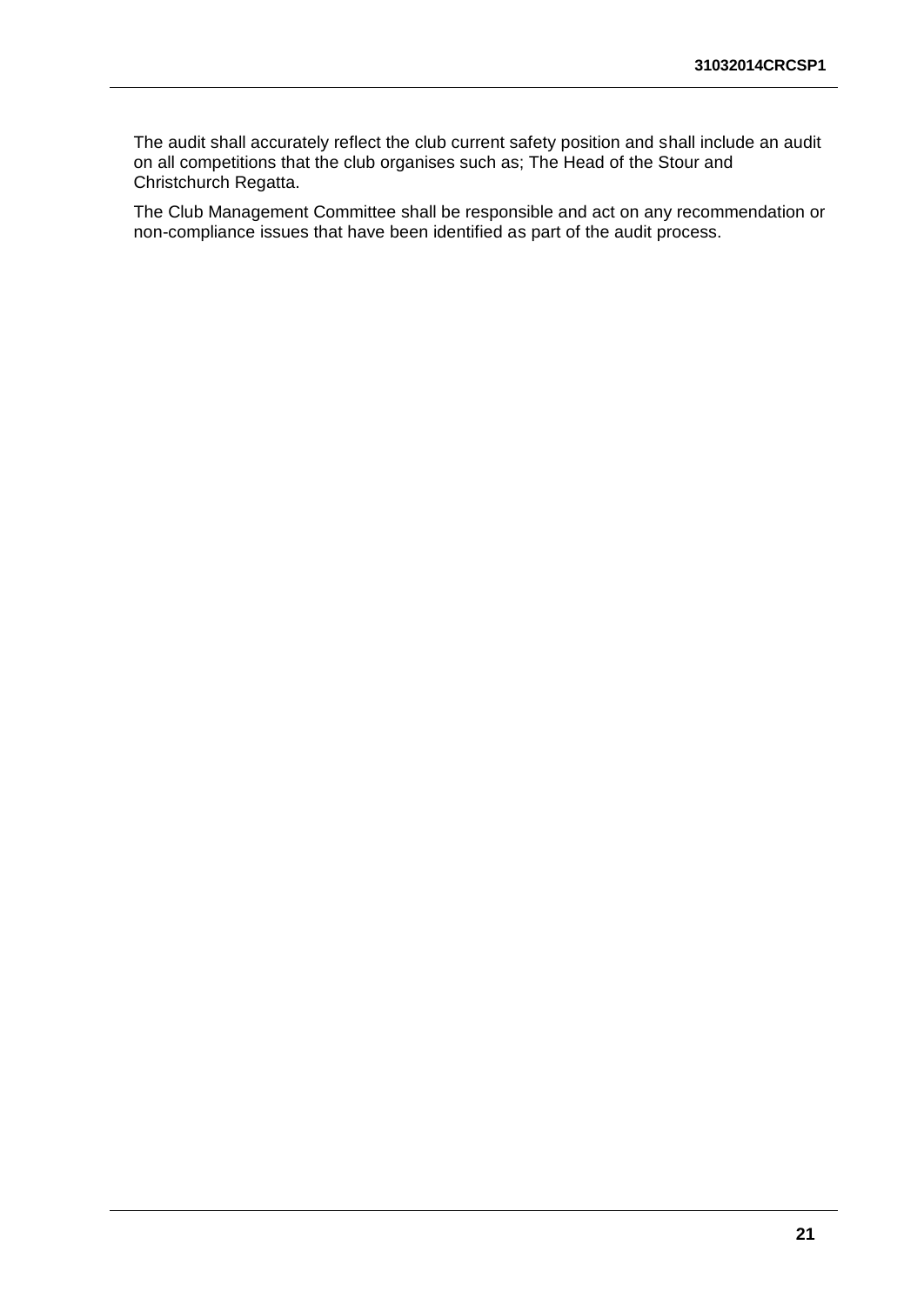The audit shall accurately reflect the club current safety position and shall include an audit on all competitions that the club organises such as; The Head of the Stour and Christchurch Regatta.

The Club Management Committee shall be responsible and act on any recommendation or non-compliance issues that have been identified as part of the audit process.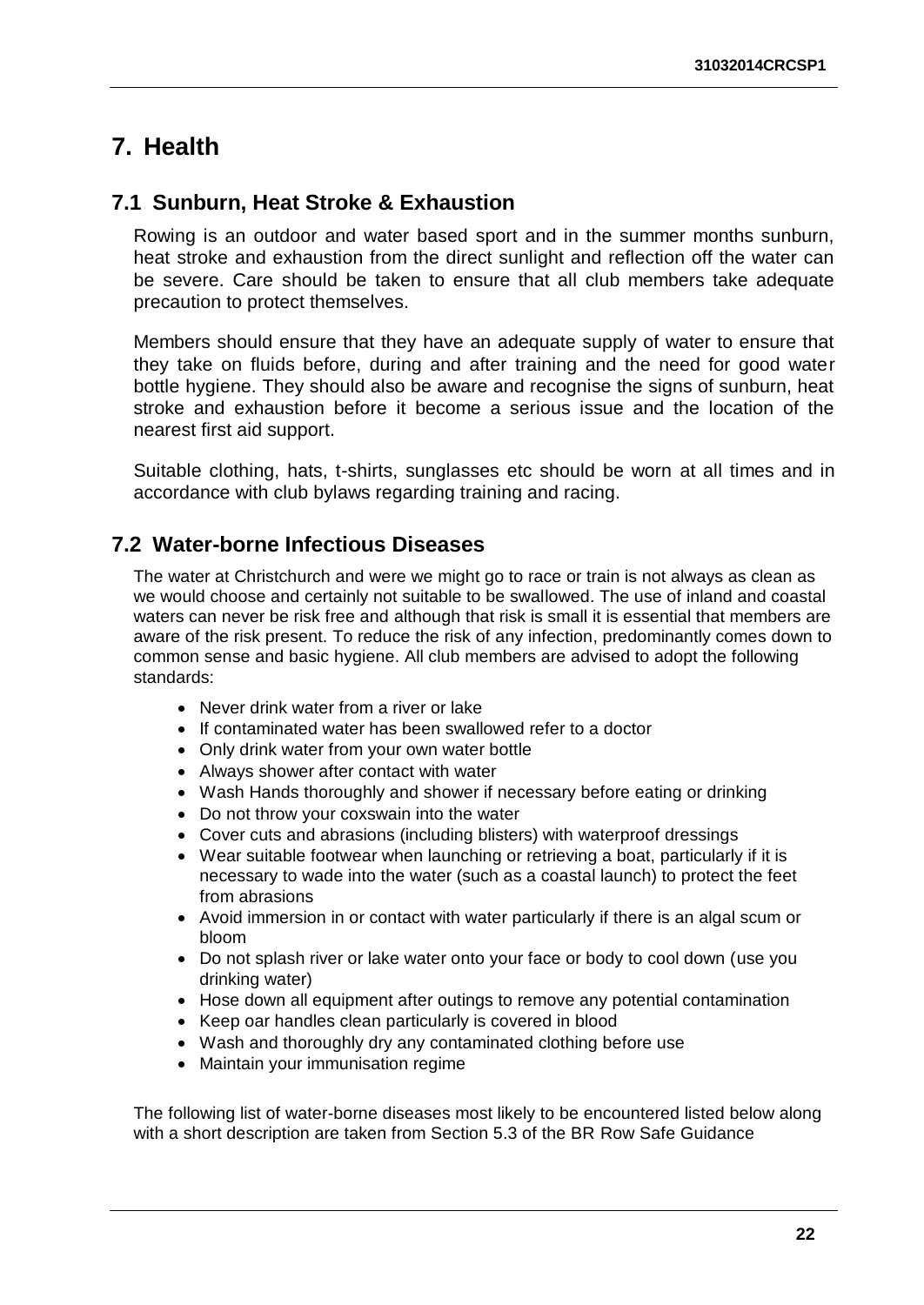### <span id="page-26-0"></span>**7. Health**

#### <span id="page-26-1"></span>**7.1 Sunburn, Heat Stroke & Exhaustion**

Rowing is an outdoor and water based sport and in the summer months sunburn, heat stroke and exhaustion from the direct sunlight and reflection off the water can be severe. Care should be taken to ensure that all club members take adequate precaution to protect themselves.

Members should ensure that they have an adequate supply of water to ensure that they take on fluids before, during and after training and the need for good water bottle hygiene. They should also be aware and recognise the signs of sunburn, heat stroke and exhaustion before it become a serious issue and the location of the nearest first aid support.

Suitable clothing, hats, t-shirts, sunglasses etc should be worn at all times and in accordance with club bylaws regarding training and racing.

#### <span id="page-26-2"></span>**7.2 Water-borne Infectious Diseases**

The water at Christchurch and were we might go to race or train is not always as clean as we would choose and certainly not suitable to be swallowed. The use of inland and coastal waters can never be risk free and although that risk is small it is essential that members are aware of the risk present. To reduce the risk of any infection, predominantly comes down to common sense and basic hygiene. All club members are advised to adopt the following standards:

- Never drink water from a river or lake
- If contaminated water has been swallowed refer to a doctor
- Only drink water from your own water bottle
- Always shower after contact with water
- Wash Hands thoroughly and shower if necessary before eating or drinking
- Do not throw your coxswain into the water
- Cover cuts and abrasions (including blisters) with waterproof dressings
- Wear suitable footwear when launching or retrieving a boat, particularly if it is necessary to wade into the water (such as a coastal launch) to protect the feet from abrasions
- Avoid immersion in or contact with water particularly if there is an algal scum or bloom
- Do not splash river or lake water onto your face or body to cool down (use you drinking water)
- Hose down all equipment after outings to remove any potential contamination
- Keep oar handles clean particularly is covered in blood
- Wash and thoroughly dry any contaminated clothing before use
- Maintain your immunisation regime

The following list of water-borne diseases most likely to be encountered listed below along with a short description are taken from Section 5.3 of the BR Row Safe Guidance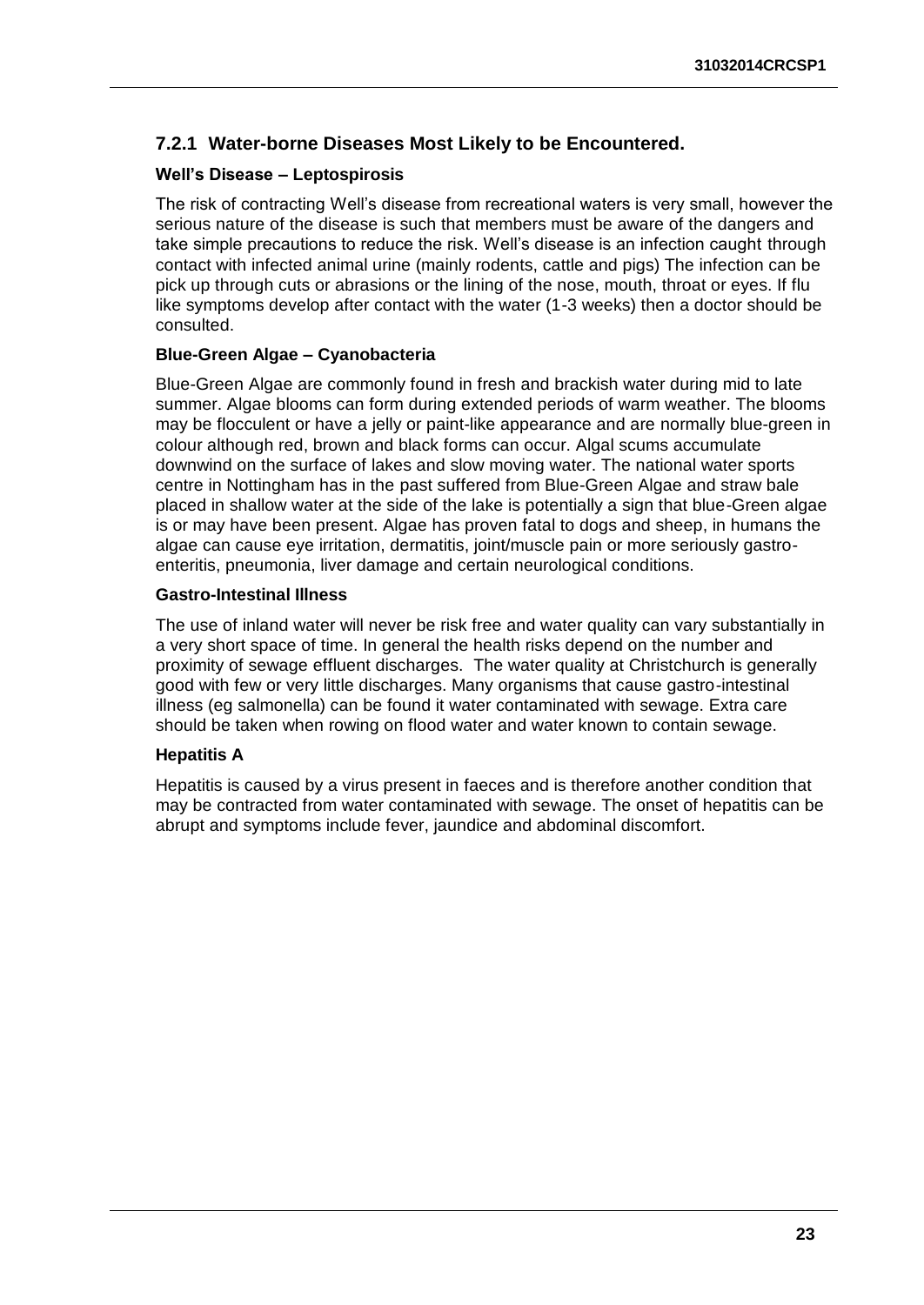#### <span id="page-27-0"></span>**7.2.1 Water-borne Diseases Most Likely to be Encountered.**

#### **Well's Disease – Leptospirosis**

The risk of contracting Well's disease from recreational waters is very small, however the serious nature of the disease is such that members must be aware of the dangers and take simple precautions to reduce the risk. Well's disease is an infection caught through contact with infected animal urine (mainly rodents, cattle and pigs) The infection can be pick up through cuts or abrasions or the lining of the nose, mouth, throat or eyes. If flu like symptoms develop after contact with the water (1-3 weeks) then a doctor should be consulted.

#### **Blue-Green Algae – Cyanobacteria**

Blue-Green Algae are commonly found in fresh and brackish water during mid to late summer. Algae blooms can form during extended periods of warm weather. The blooms may be flocculent or have a jelly or paint-like appearance and are normally blue-green in colour although red, brown and black forms can occur. Algal scums accumulate downwind on the surface of lakes and slow moving water. The national water sports centre in Nottingham has in the past suffered from Blue-Green Algae and straw bale placed in shallow water at the side of the lake is potentially a sign that blue-Green algae is or may have been present. Algae has proven fatal to dogs and sheep, in humans the algae can cause eye irritation, dermatitis, joint/muscle pain or more seriously gastroenteritis, pneumonia, liver damage and certain neurological conditions.

#### **Gastro-Intestinal Illness**

The use of inland water will never be risk free and water quality can vary substantially in a very short space of time. In general the health risks depend on the number and proximity of sewage effluent discharges. The water quality at Christchurch is generally good with few or very little discharges. Many organisms that cause gastro-intestinal illness (eg salmonella) can be found it water contaminated with sewage. Extra care should be taken when rowing on flood water and water known to contain sewage.

#### **Hepatitis A**

Hepatitis is caused by a virus present in faeces and is therefore another condition that may be contracted from water contaminated with sewage. The onset of hepatitis can be abrupt and symptoms include fever, jaundice and abdominal discomfort.